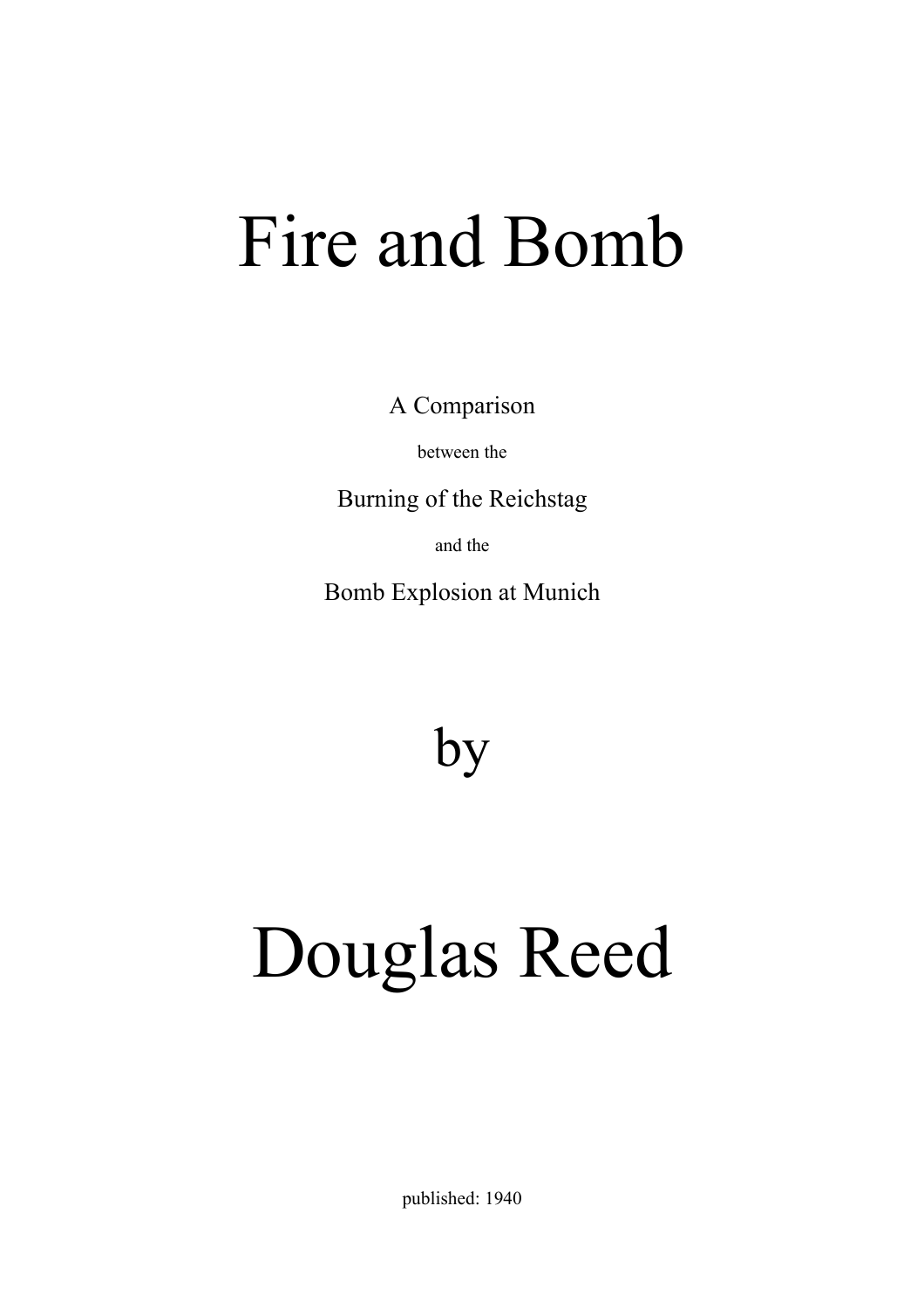# Fire and Bomb

A Comparison

between the

Burning of the Reichstag

and the

Bomb Explosion at Munich

by

# Douglas Reed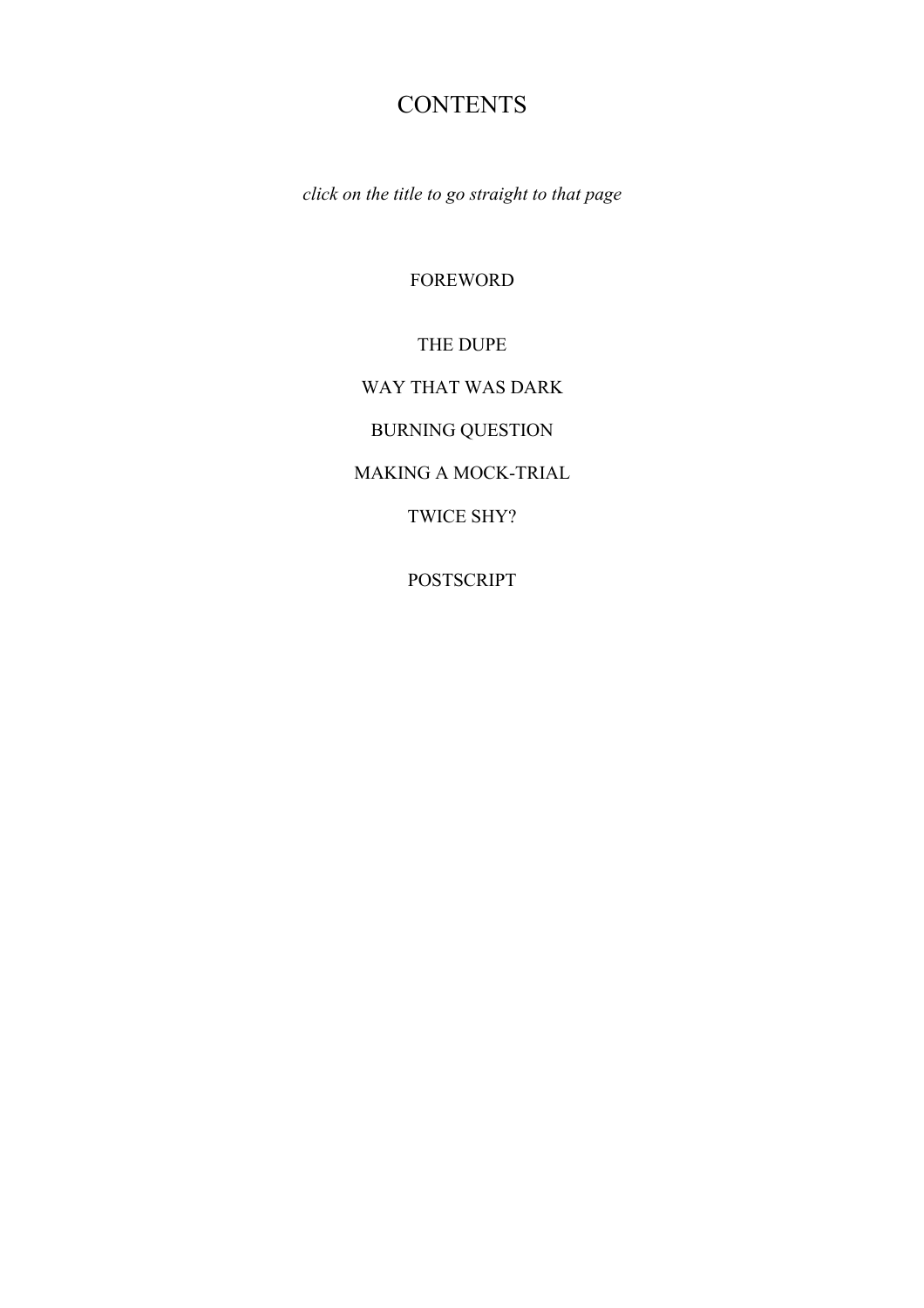# **CONTENTS**

*click on the title to go straight to that page* 

[FOREWORD](#page-2-0) 

#### [THE DUPE](#page-4-0)

#### [WAY THAT WAS DARK](#page-9-0)

[BURNING QUESTION](#page-12-0) 

[MAKING A MOCK-TRIAL](#page-15-0) 

[TWICE SHY?](#page-19-0) 

[POSTSCRIPT](#page-21-0)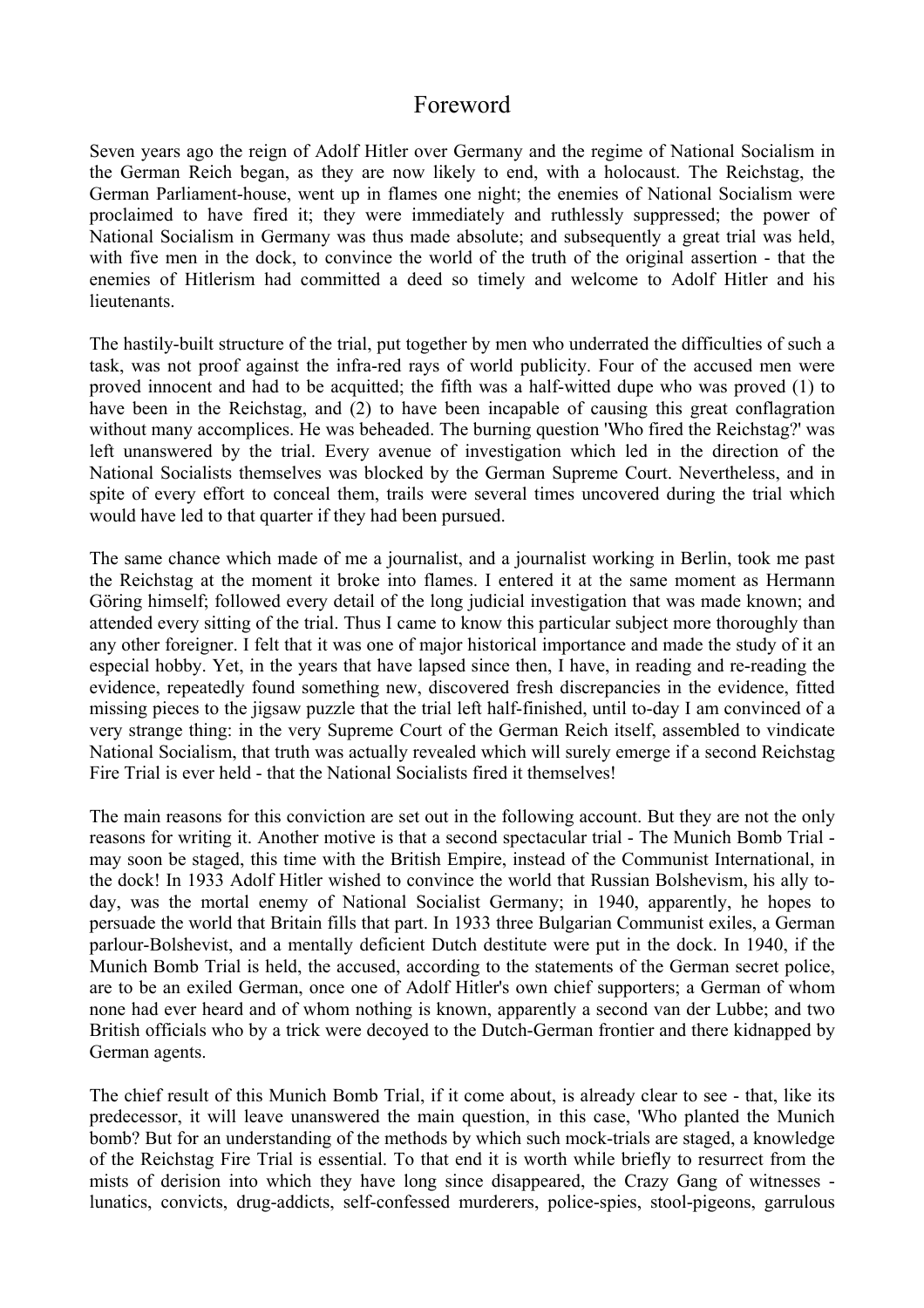#### Foreword

<span id="page-2-0"></span>Seven years ago the reign of Adolf Hitler over Germany and the regime of National Socialism in the German Reich began, as they are now likely to end, with a holocaust. The Reichstag, the German Parliament-house, went up in flames one night; the enemies of National Socialism were proclaimed to have fired it; they were immediately and ruthlessly suppressed; the power of National Socialism in Germany was thus made absolute; and subsequently a great trial was held, with five men in the dock, to convince the world of the truth of the original assertion - that the enemies of Hitlerism had committed a deed so timely and welcome to Adolf Hitler and his lieutenants.

The hastily-built structure of the trial, put together by men who underrated the difficulties of such a task, was not proof against the infra-red rays of world publicity. Four of the accused men were proved innocent and had to be acquitted; the fifth was a half-witted dupe who was proved (1) to have been in the Reichstag, and (2) to have been incapable of causing this great conflagration without many accomplices. He was beheaded. The burning question 'Who fired the Reichstag?' was left unanswered by the trial. Every avenue of investigation which led in the direction of the National Socialists themselves was blocked by the German Supreme Court. Nevertheless, and in spite of every effort to conceal them, trails were several times uncovered during the trial which would have led to that quarter if they had been pursued.

The same chance which made of me a journalist, and a journalist working in Berlin, took me past the Reichstag at the moment it broke into flames. I entered it at the same moment as Hermann Göring himself; followed every detail of the long judicial investigation that was made known; and attended every sitting of the trial. Thus I came to know this particular subject more thoroughly than any other foreigner. I felt that it was one of major historical importance and made the study of it an especial hobby. Yet, in the years that have lapsed since then, I have, in reading and re-reading the evidence, repeatedly found something new, discovered fresh discrepancies in the evidence, fitted missing pieces to the jigsaw puzzle that the trial left half-finished, until to-day I am convinced of a very strange thing: in the very Supreme Court of the German Reich itself, assembled to vindicate National Socialism, that truth was actually revealed which will surely emerge if a second Reichstag Fire Trial is ever held - that the National Socialists fired it themselves!

The main reasons for this conviction are set out in the following account. But they are not the only reasons for writing it. Another motive is that a second spectacular trial - The Munich Bomb Trial may soon be staged, this time with the British Empire, instead of the Communist International, in the dock! In 1933 Adolf Hitler wished to convince the world that Russian Bolshevism, his ally today, was the mortal enemy of National Socialist Germany; in 1940, apparently, he hopes to persuade the world that Britain fills that part. In 1933 three Bulgarian Communist exiles, a German parlour-Bolshevist, and a mentally deficient Dutch destitute were put in the dock. In 1940, if the Munich Bomb Trial is held, the accused, according to the statements of the German secret police, are to be an exiled German, once one of Adolf Hitler's own chief supporters; a German of whom none had ever heard and of whom nothing is known, apparently a second van der Lubbe; and two British officials who by a trick were decoyed to the Dutch-German frontier and there kidnapped by German agents.

The chief result of this Munich Bomb Trial, if it come about, is already clear to see - that, like its predecessor, it will leave unanswered the main question, in this case, 'Who planted the Munich bomb? But for an understanding of the methods by which such mock-trials are staged, a knowledge of the Reichstag Fire Trial is essential. To that end it is worth while briefly to resurrect from the mists of derision into which they have long since disappeared, the Crazy Gang of witnesses lunatics, convicts, drug-addicts, self-confessed murderers, police-spies, stool-pigeons, garrulous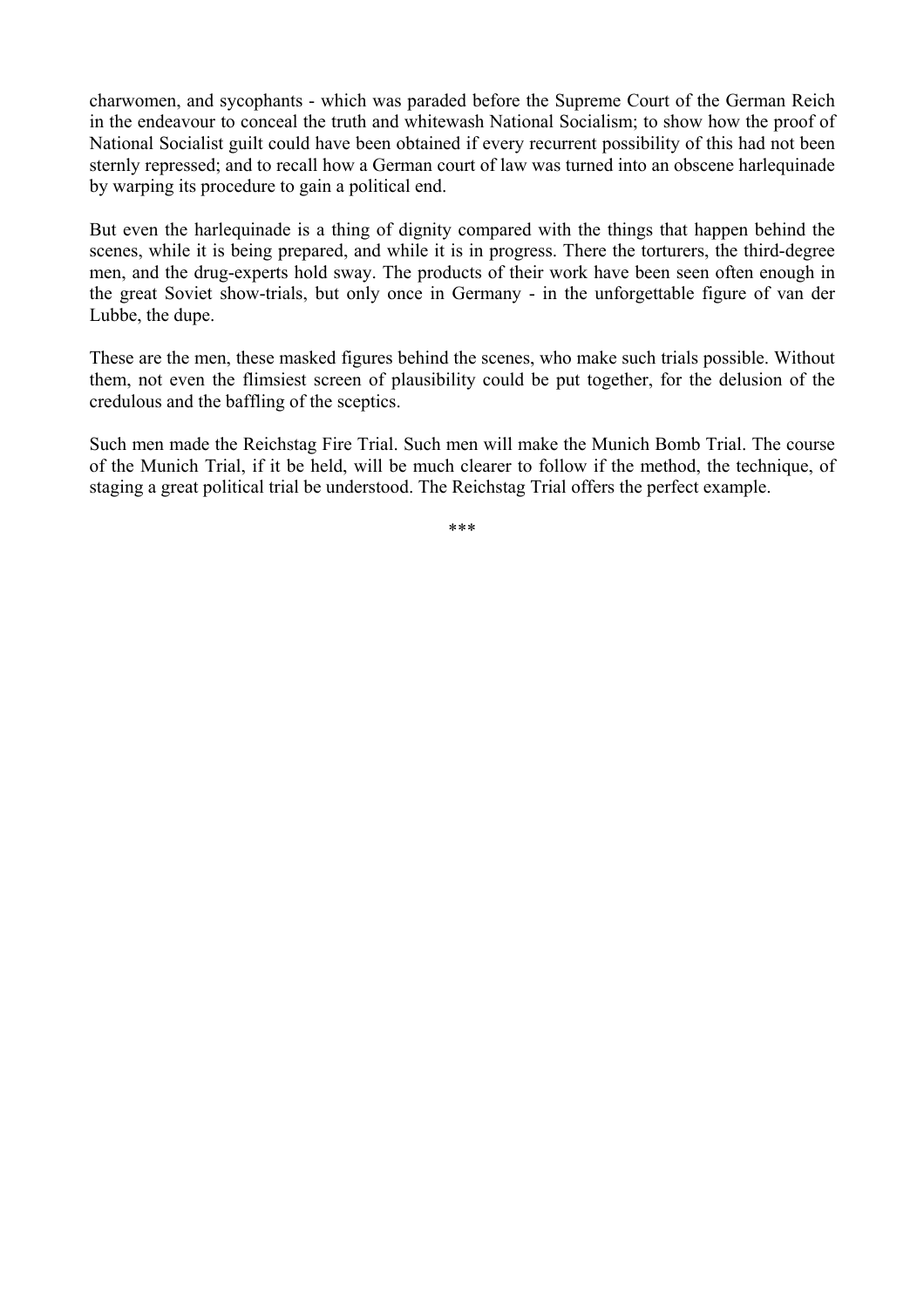charwomen, and sycophants - which was paraded before the Supreme Court of the German Reich in the endeavour to conceal the truth and whitewash National Socialism; to show how the proof of National Socialist guilt could have been obtained if every recurrent possibility of this had not been sternly repressed; and to recall how a German court of law was turned into an obscene harlequinade by warping its procedure to gain a political end.

But even the harlequinade is a thing of dignity compared with the things that happen behind the scenes, while it is being prepared, and while it is in progress. There the torturers, the third-degree men, and the drug-experts hold sway. The products of their work have been seen often enough in the great Soviet show-trials, but only once in Germany - in the unforgettable figure of van der Lubbe, the dupe.

These are the men, these masked figures behind the scenes, who make such trials possible. Without them, not even the flimsiest screen of plausibility could be put together, for the delusion of the credulous and the baffling of the sceptics.

Such men made the Reichstag Fire Trial. Such men will make the Munich Bomb Trial. The course of the Munich Trial, if it be held, will be much clearer to follow if the method, the technique, of staging a great political trial be understood. The Reichstag Trial offers the perfect example.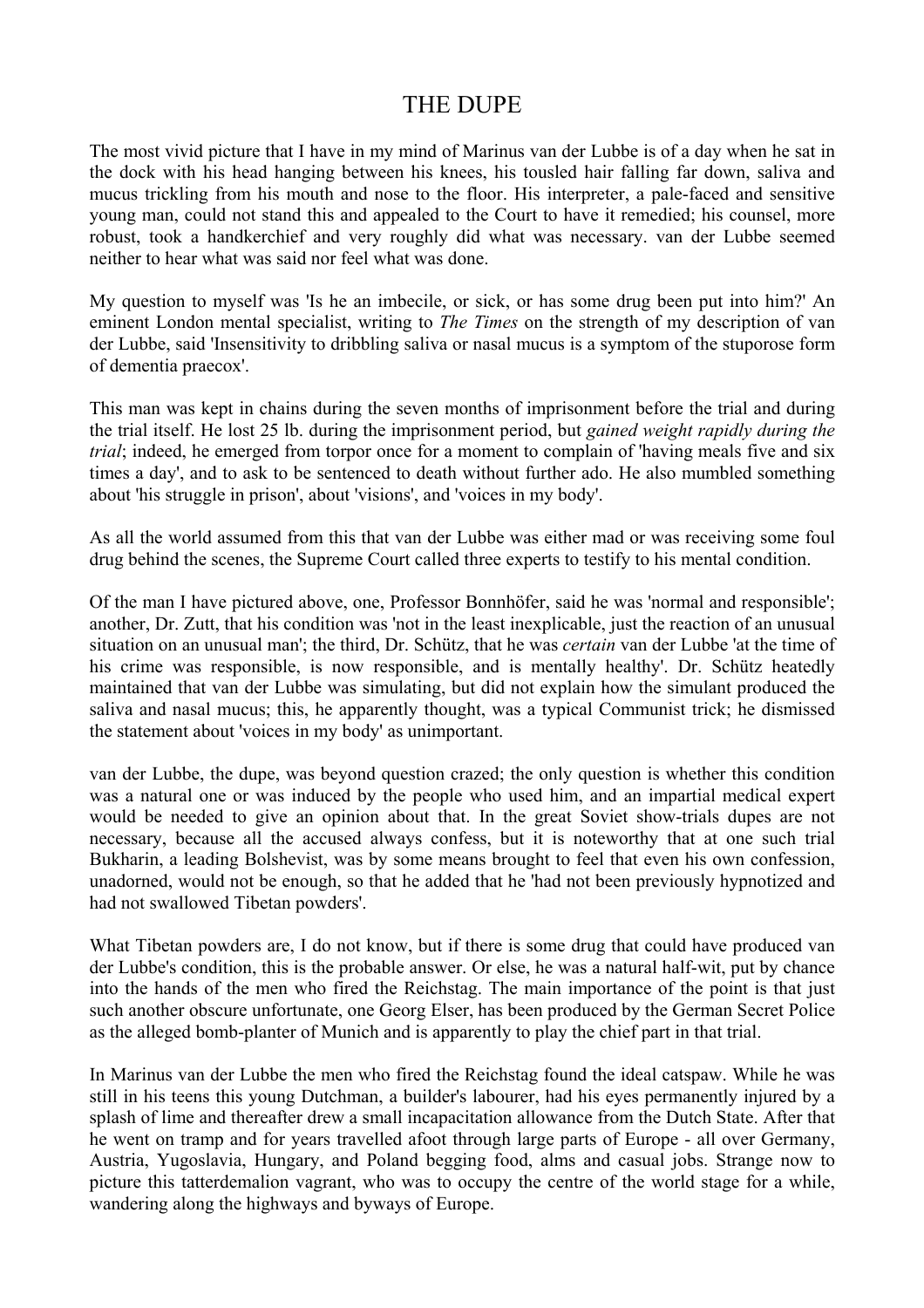#### THE DUPE

<span id="page-4-0"></span>The most vivid picture that I have in my mind of Marinus van der Lubbe is of a day when he sat in the dock with his head hanging between his knees, his tousled hair falling far down, saliva and mucus trickling from his mouth and nose to the floor. His interpreter, a pale-faced and sensitive young man, could not stand this and appealed to the Court to have it remedied; his counsel, more robust, took a handkerchief and very roughly did what was necessary. van der Lubbe seemed neither to hear what was said nor feel what was done.

My question to myself was 'Is he an imbecile, or sick, or has some drug been put into him?' An eminent London mental specialist, writing to *The Times* on the strength of my description of van der Lubbe, said 'Insensitivity to dribbling saliva or nasal mucus is a symptom of the stuporose form of dementia praecox'.

This man was kept in chains during the seven months of imprisonment before the trial and during the trial itself. He lost 25 lb. during the imprisonment period, but *gained weight rapidly during the trial*; indeed, he emerged from torpor once for a moment to complain of 'having meals five and six times a day', and to ask to be sentenced to death without further ado. He also mumbled something about 'his struggle in prison', about 'visions', and 'voices in my body'.

As all the world assumed from this that van der Lubbe was either mad or was receiving some foul drug behind the scenes, the Supreme Court called three experts to testify to his mental condition.

Of the man I have pictured above, one, Professor Bonnhöfer, said he was 'normal and responsible'; another, Dr. Zutt, that his condition was 'not in the least inexplicable, just the reaction of an unusual situation on an unusual man'; the third, Dr. Schütz, that he was *certain* van der Lubbe 'at the time of his crime was responsible, is now responsible, and is mentally healthy'. Dr. Schütz heatedly maintained that van der Lubbe was simulating, but did not explain how the simulant produced the saliva and nasal mucus; this, he apparently thought, was a typical Communist trick; he dismissed the statement about 'voices in my body' as unimportant.

van der Lubbe, the dupe, was beyond question crazed; the only question is whether this condition was a natural one or was induced by the people who used him, and an impartial medical expert would be needed to give an opinion about that. In the great Soviet show-trials dupes are not necessary, because all the accused always confess, but it is noteworthy that at one such trial Bukharin, a leading Bolshevist, was by some means brought to feel that even his own confession, unadorned, would not be enough, so that he added that he 'had not been previously hypnotized and had not swallowed Tibetan powders'.

What Tibetan powders are, I do not know, but if there is some drug that could have produced van der Lubbe's condition, this is the probable answer. Or else, he was a natural half-wit, put by chance into the hands of the men who fired the Reichstag. The main importance of the point is that just such another obscure unfortunate, one Georg Elser, has been produced by the German Secret Police as the alleged bomb-planter of Munich and is apparently to play the chief part in that trial.

In Marinus van der Lubbe the men who fired the Reichstag found the ideal catspaw. While he was still in his teens this young Dutchman, a builder's labourer, had his eyes permanently injured by a splash of lime and thereafter drew a small incapacitation allowance from the Dutch State. After that he went on tramp and for years travelled afoot through large parts of Europe - all over Germany, Austria, Yugoslavia, Hungary, and Poland begging food, alms and casual jobs. Strange now to picture this tatterdemalion vagrant, who was to occupy the centre of the world stage for a while, wandering along the highways and byways of Europe.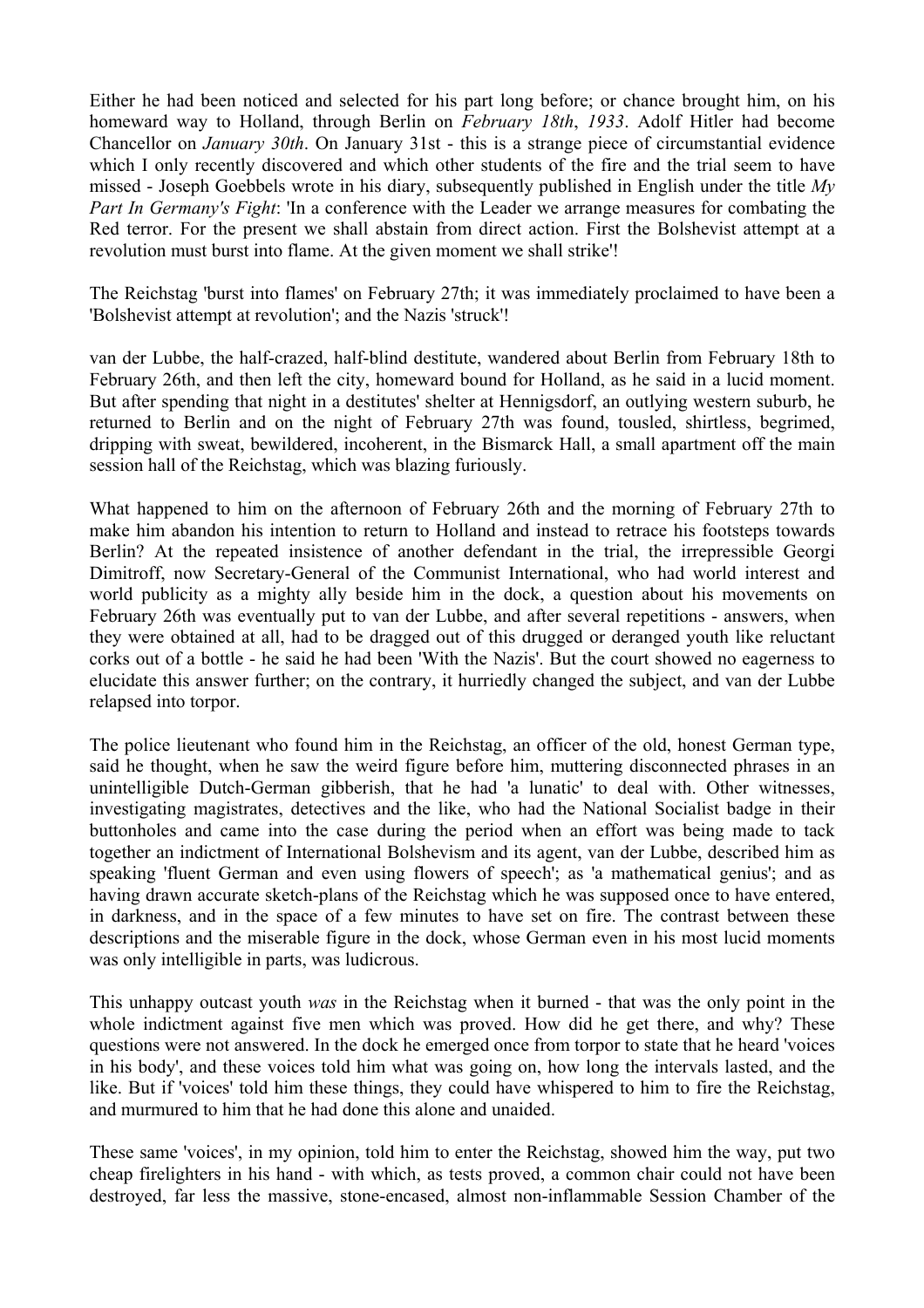Either he had been noticed and selected for his part long before; or chance brought him, on his homeward way to Holland, through Berlin on *February 18th*, *1933*. Adolf Hitler had become Chancellor on *January 30th*. On January 31st - this is a strange piece of circumstantial evidence which I only recently discovered and which other students of the fire and the trial seem to have missed - Joseph Goebbels wrote in his diary, subsequently published in English under the title *My Part In Germany's Fight*: 'In a conference with the Leader we arrange measures for combating the Red terror. For the present we shall abstain from direct action. First the Bolshevist attempt at a revolution must burst into flame. At the given moment we shall strike'!

The Reichstag 'burst into flames' on February 27th; it was immediately proclaimed to have been a 'Bolshevist attempt at revolution'; and the Nazis 'struck'!

van der Lubbe, the half-crazed, half-blind destitute, wandered about Berlin from February 18th to February 26th, and then left the city, homeward bound for Holland, as he said in a lucid moment. But after spending that night in a destitutes' shelter at Hennigsdorf, an outlying western suburb, he returned to Berlin and on the night of February 27th was found, tousled, shirtless, begrimed, dripping with sweat, bewildered, incoherent, in the Bismarck Hall, a small apartment off the main session hall of the Reichstag, which was blazing furiously.

What happened to him on the afternoon of February 26th and the morning of February 27th to make him abandon his intention to return to Holland and instead to retrace his footsteps towards Berlin? At the repeated insistence of another defendant in the trial, the irrepressible Georgi Dimitroff, now Secretary-General of the Communist International, who had world interest and world publicity as a mighty ally beside him in the dock, a question about his movements on February 26th was eventually put to van der Lubbe, and after several repetitions - answers, when they were obtained at all, had to be dragged out of this drugged or deranged youth like reluctant corks out of a bottle - he said he had been 'With the Nazis'. But the court showed no eagerness to elucidate this answer further; on the contrary, it hurriedly changed the subject, and van der Lubbe relapsed into torpor.

The police lieutenant who found him in the Reichstag, an officer of the old, honest German type, said he thought, when he saw the weird figure before him, muttering disconnected phrases in an unintelligible Dutch-German gibberish, that he had 'a lunatic' to deal with. Other witnesses, investigating magistrates, detectives and the like, who had the National Socialist badge in their buttonholes and came into the case during the period when an effort was being made to tack together an indictment of International Bolshevism and its agent, van der Lubbe, described him as speaking 'fluent German and even using flowers of speech'; as 'a mathematical genius'; and as having drawn accurate sketch-plans of the Reichstag which he was supposed once to have entered, in darkness, and in the space of a few minutes to have set on fire. The contrast between these descriptions and the miserable figure in the dock, whose German even in his most lucid moments was only intelligible in parts, was ludicrous.

This unhappy outcast youth *was* in the Reichstag when it burned - that was the only point in the whole indictment against five men which was proved. How did he get there, and why? These questions were not answered. In the dock he emerged once from torpor to state that he heard 'voices in his body', and these voices told him what was going on, how long the intervals lasted, and the like. But if 'voices' told him these things, they could have whispered to him to fire the Reichstag, and murmured to him that he had done this alone and unaided.

These same 'voices', in my opinion, told him to enter the Reichstag, showed him the way, put two cheap firelighters in his hand - with which, as tests proved, a common chair could not have been destroyed, far less the massive, stone-encased, almost non-inflammable Session Chamber of the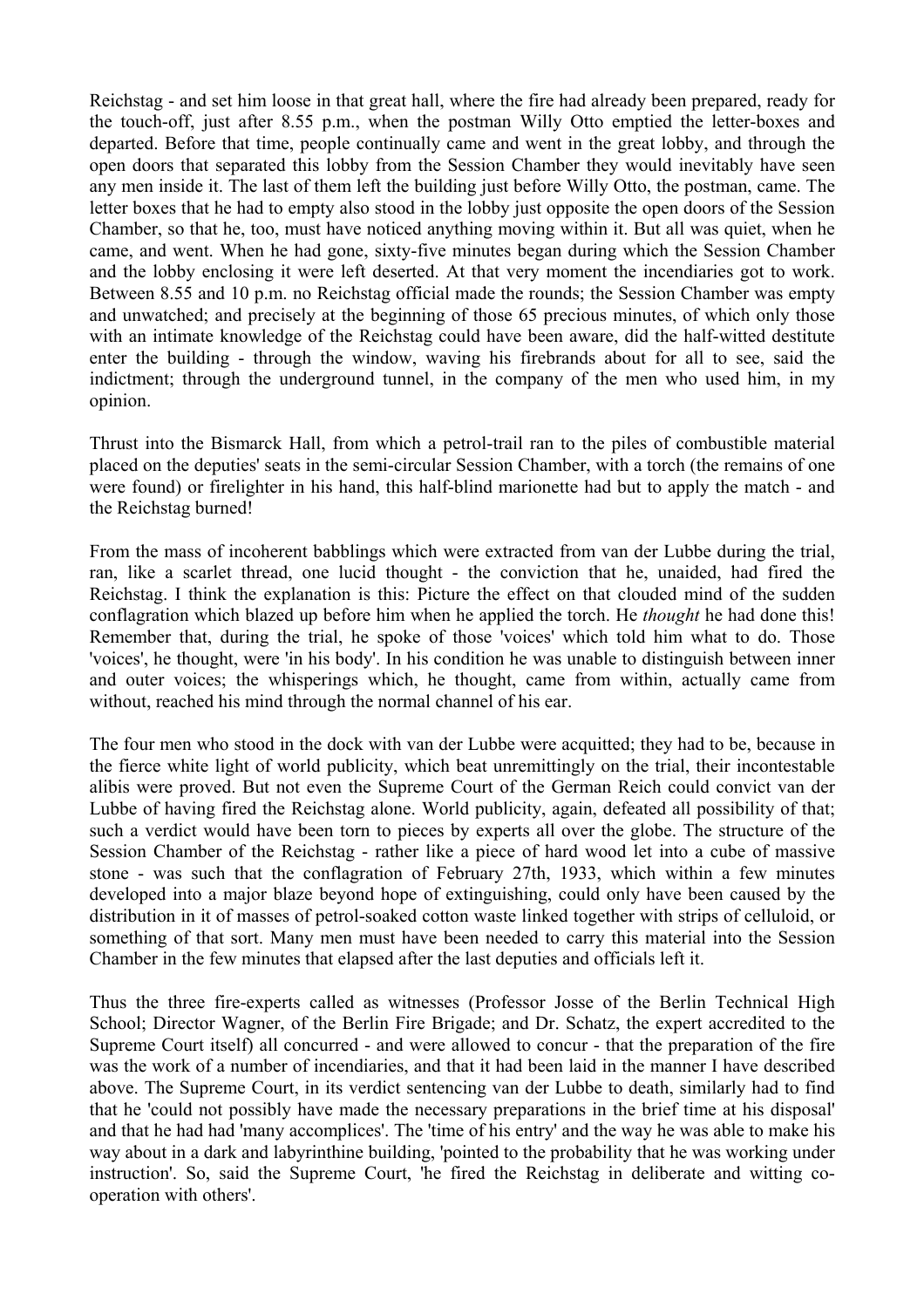Reichstag - and set him loose in that great hall, where the fire had already been prepared, ready for the touch-off, just after 8.55 p.m., when the postman Willy Otto emptied the letter-boxes and departed. Before that time, people continually came and went in the great lobby, and through the open doors that separated this lobby from the Session Chamber they would inevitably have seen any men inside it. The last of them left the building just before Willy Otto, the postman, came. The letter boxes that he had to empty also stood in the lobby just opposite the open doors of the Session Chamber, so that he, too, must have noticed anything moving within it. But all was quiet, when he came, and went. When he had gone, sixty-five minutes began during which the Session Chamber and the lobby enclosing it were left deserted. At that very moment the incendiaries got to work. Between 8.55 and 10 p.m. no Reichstag official made the rounds; the Session Chamber was empty and unwatched; and precisely at the beginning of those 65 precious minutes, of which only those with an intimate knowledge of the Reichstag could have been aware, did the half-witted destitute enter the building - through the window, waving his firebrands about for all to see, said the indictment; through the underground tunnel, in the company of the men who used him, in my opinion.

Thrust into the Bismarck Hall, from which a petrol-trail ran to the piles of combustible material placed on the deputies' seats in the semi-circular Session Chamber, with a torch (the remains of one were found) or firelighter in his hand, this half-blind marionette had but to apply the match - and the Reichstag burned!

From the mass of incoherent babblings which were extracted from van der Lubbe during the trial, ran, like a scarlet thread, one lucid thought - the conviction that he, unaided, had fired the Reichstag. I think the explanation is this: Picture the effect on that clouded mind of the sudden conflagration which blazed up before him when he applied the torch. He *thought* he had done this! Remember that, during the trial, he spoke of those 'voices' which told him what to do. Those 'voices', he thought, were 'in his body'. In his condition he was unable to distinguish between inner and outer voices; the whisperings which, he thought, came from within, actually came from without, reached his mind through the normal channel of his ear.

The four men who stood in the dock with van der Lubbe were acquitted; they had to be, because in the fierce white light of world publicity, which beat unremittingly on the trial, their incontestable alibis were proved. But not even the Supreme Court of the German Reich could convict van der Lubbe of having fired the Reichstag alone. World publicity, again, defeated all possibility of that; such a verdict would have been torn to pieces by experts all over the globe. The structure of the Session Chamber of the Reichstag - rather like a piece of hard wood let into a cube of massive stone - was such that the conflagration of February 27th, 1933, which within a few minutes developed into a major blaze beyond hope of extinguishing, could only have been caused by the distribution in it of masses of petrol-soaked cotton waste linked together with strips of celluloid, or something of that sort. Many men must have been needed to carry this material into the Session Chamber in the few minutes that elapsed after the last deputies and officials left it.

Thus the three fire-experts called as witnesses (Professor Josse of the Berlin Technical High School; Director Wagner, of the Berlin Fire Brigade; and Dr. Schatz, the expert accredited to the Supreme Court itself) all concurred - and were allowed to concur - that the preparation of the fire was the work of a number of incendiaries, and that it had been laid in the manner I have described above. The Supreme Court, in its verdict sentencing van der Lubbe to death, similarly had to find that he 'could not possibly have made the necessary preparations in the brief time at his disposal' and that he had had 'many accomplices'. The 'time of his entry' and the way he was able to make his way about in a dark and labyrinthine building, 'pointed to the probability that he was working under instruction'. So, said the Supreme Court, 'he fired the Reichstag in deliberate and witting cooperation with others'.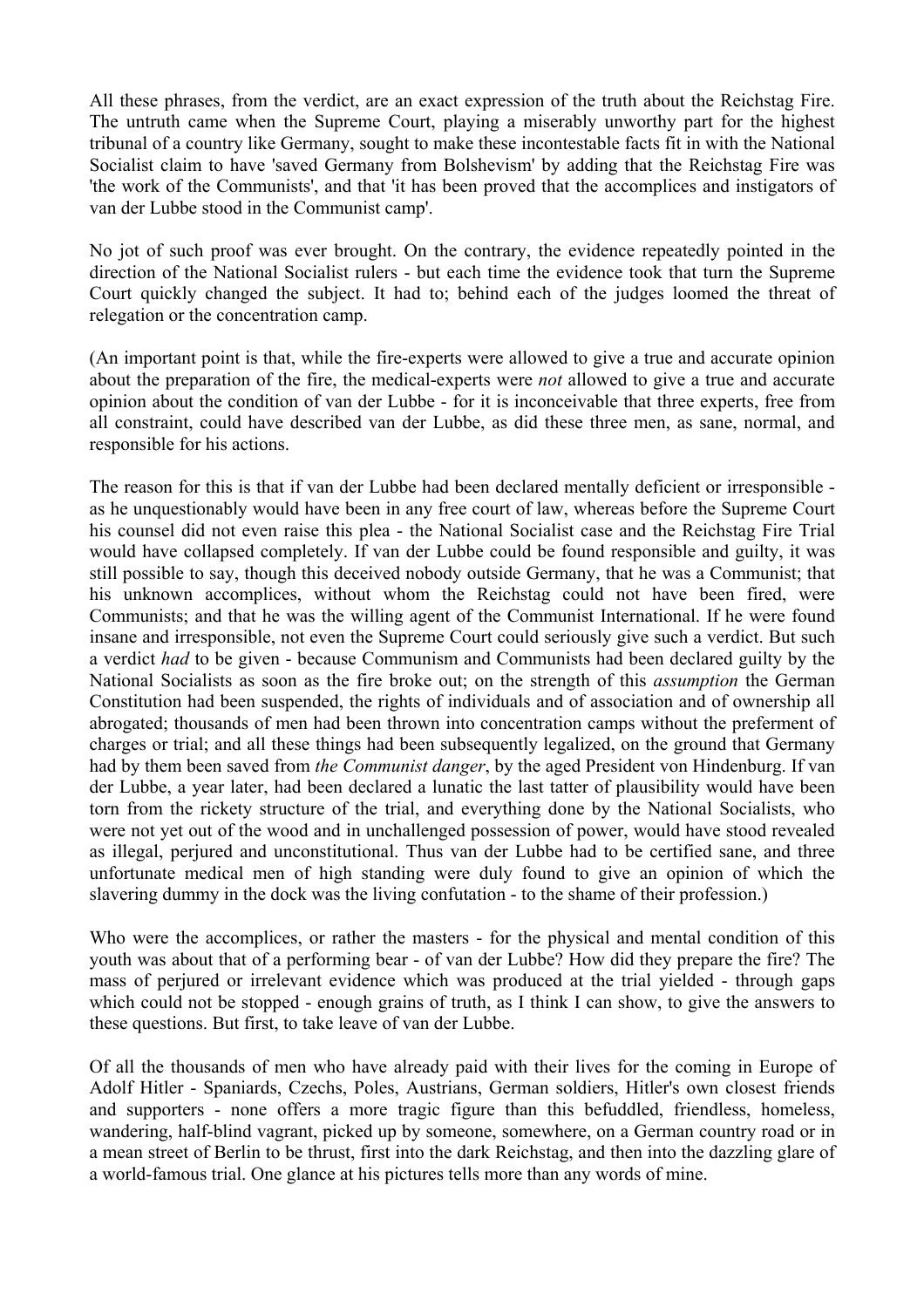All these phrases, from the verdict, are an exact expression of the truth about the Reichstag Fire. The untruth came when the Supreme Court, playing a miserably unworthy part for the highest tribunal of a country like Germany, sought to make these incontestable facts fit in with the National Socialist claim to have 'saved Germany from Bolshevism' by adding that the Reichstag Fire was 'the work of the Communists', and that 'it has been proved that the accomplices and instigators of van der Lubbe stood in the Communist camp'.

No jot of such proof was ever brought. On the contrary, the evidence repeatedly pointed in the direction of the National Socialist rulers - but each time the evidence took that turn the Supreme Court quickly changed the subject. It had to; behind each of the judges loomed the threat of relegation or the concentration camp.

(An important point is that, while the fire-experts were allowed to give a true and accurate opinion about the preparation of the fire, the medical-experts were *not* allowed to give a true and accurate opinion about the condition of van der Lubbe - for it is inconceivable that three experts, free from all constraint, could have described van der Lubbe, as did these three men, as sane, normal, and responsible for his actions.

The reason for this is that if van der Lubbe had been declared mentally deficient or irresponsible as he unquestionably would have been in any free court of law, whereas before the Supreme Court his counsel did not even raise this plea - the National Socialist case and the Reichstag Fire Trial would have collapsed completely. If van der Lubbe could be found responsible and guilty, it was still possible to say, though this deceived nobody outside Germany, that he was a Communist; that his unknown accomplices, without whom the Reichstag could not have been fired, were Communists; and that he was the willing agent of the Communist International. If he were found insane and irresponsible, not even the Supreme Court could seriously give such a verdict. But such a verdict *had* to be given - because Communism and Communists had been declared guilty by the National Socialists as soon as the fire broke out; on the strength of this *assumption* the German Constitution had been suspended, the rights of individuals and of association and of ownership all abrogated; thousands of men had been thrown into concentration camps without the preferment of charges or trial; and all these things had been subsequently legalized, on the ground that Germany had by them been saved from *the Communist danger*, by the aged President von Hindenburg. If van der Lubbe, a year later, had been declared a lunatic the last tatter of plausibility would have been torn from the rickety structure of the trial, and everything done by the National Socialists, who were not yet out of the wood and in unchallenged possession of power, would have stood revealed as illegal, perjured and unconstitutional. Thus van der Lubbe had to be certified sane, and three unfortunate medical men of high standing were duly found to give an opinion of which the slavering dummy in the dock was the living confutation - to the shame of their profession.)

Who were the accomplices, or rather the masters - for the physical and mental condition of this youth was about that of a performing bear - of van der Lubbe? How did they prepare the fire? The mass of perjured or irrelevant evidence which was produced at the trial yielded - through gaps which could not be stopped - enough grains of truth, as I think I can show, to give the answers to these questions. But first, to take leave of van der Lubbe.

Of all the thousands of men who have already paid with their lives for the coming in Europe of Adolf Hitler - Spaniards, Czechs, Poles, Austrians, German soldiers, Hitler's own closest friends and supporters - none offers a more tragic figure than this befuddled, friendless, homeless, wandering, half-blind vagrant, picked up by someone, somewhere, on a German country road or in a mean street of Berlin to be thrust, first into the dark Reichstag, and then into the dazzling glare of a world-famous trial. One glance at his pictures tells more than any words of mine.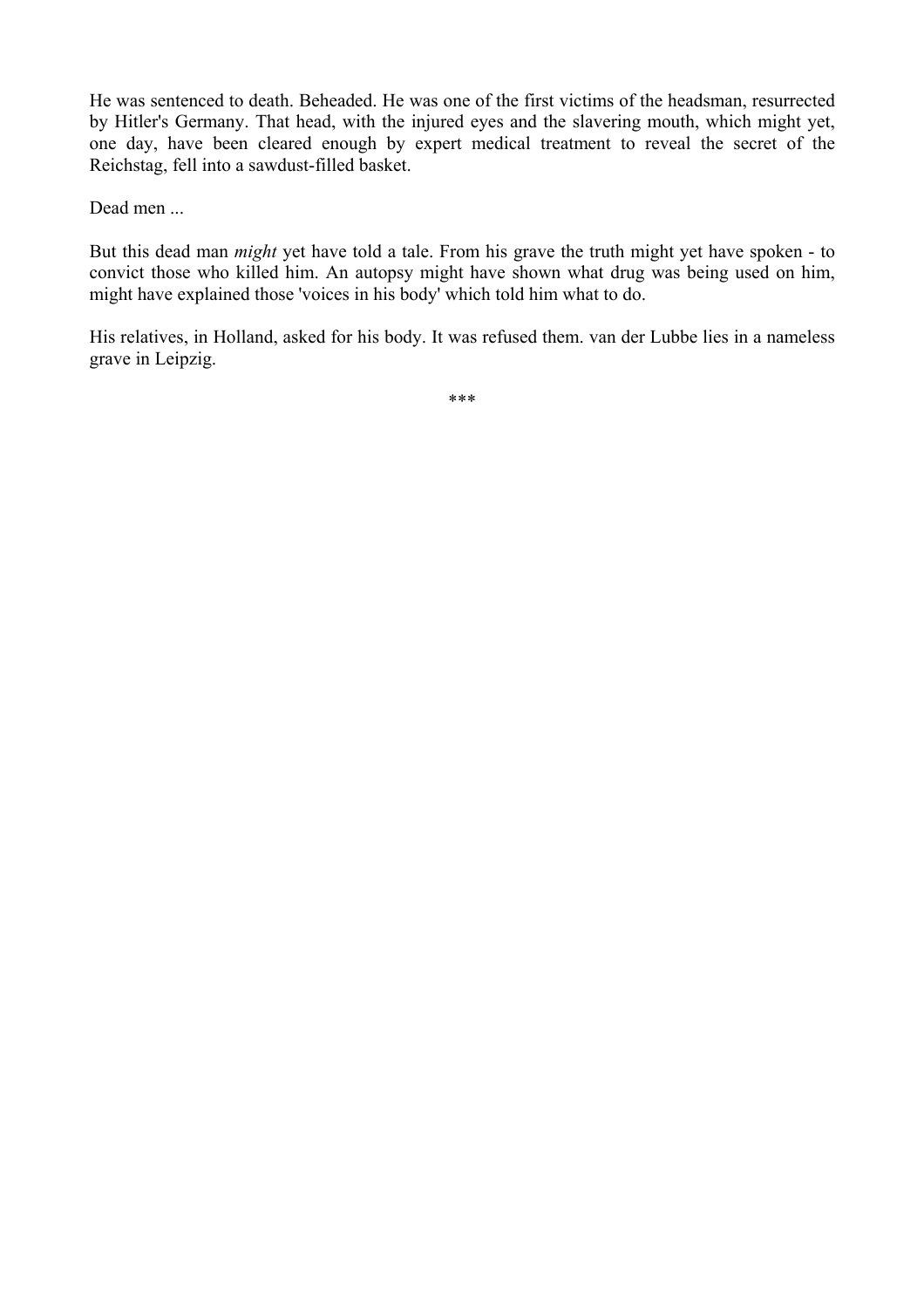He was sentenced to death. Beheaded. He was one of the first victims of the headsman, resurrected by Hitler's Germany. That head, with the injured eyes and the slavering mouth, which might yet, one day, have been cleared enough by expert medical treatment to reveal the secret of the Reichstag, fell into a sawdust-filled basket.

Dead men ...

But this dead man *might* yet have told a tale. From his grave the truth might yet have spoken - to convict those who killed him. An autopsy might have shown what drug was being used on him, might have explained those 'voices in his body' which told him what to do.

His relatives, in Holland, asked for his body. It was refused them. van der Lubbe lies in a nameless grave in Leipzig.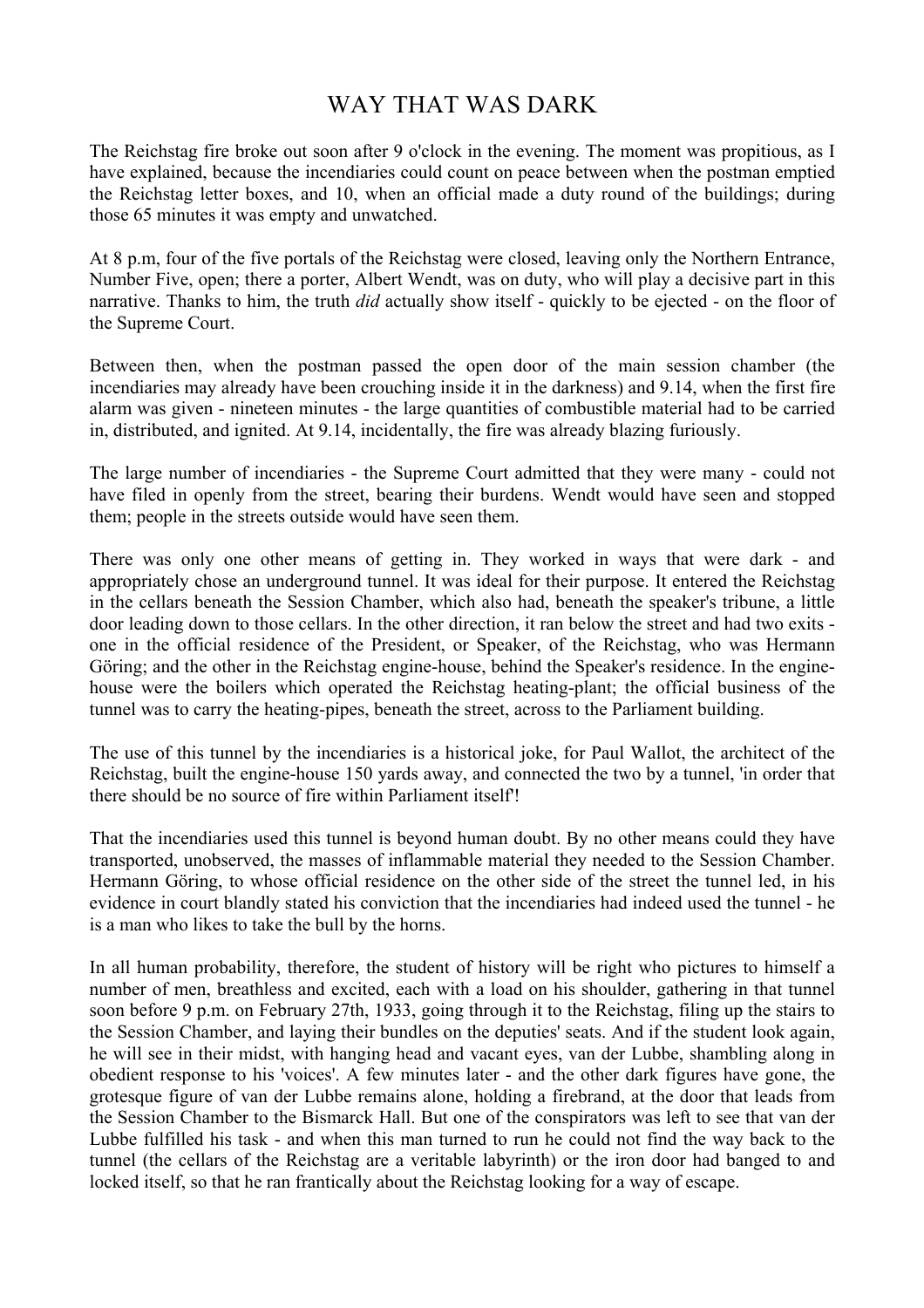## WAY THAT WAS DARK

<span id="page-9-0"></span>The Reichstag fire broke out soon after 9 o'clock in the evening. The moment was propitious, as I have explained, because the incendiaries could count on peace between when the postman emptied the Reichstag letter boxes, and 10, when an official made a duty round of the buildings; during those 65 minutes it was empty and unwatched.

At 8 p.m, four of the five portals of the Reichstag were closed, leaving only the Northern Entrance, Number Five, open; there a porter, Albert Wendt, was on duty, who will play a decisive part in this narrative. Thanks to him, the truth *did* actually show itself - quickly to be ejected - on the floor of the Supreme Court.

Between then, when the postman passed the open door of the main session chamber (the incendiaries may already have been crouching inside it in the darkness) and 9.14, when the first fire alarm was given - nineteen minutes - the large quantities of combustible material had to be carried in, distributed, and ignited. At 9.14, incidentally, the fire was already blazing furiously.

The large number of incendiaries - the Supreme Court admitted that they were many - could not have filed in openly from the street, bearing their burdens. Wendt would have seen and stopped them; people in the streets outside would have seen them.

There was only one other means of getting in. They worked in ways that were dark - and appropriately chose an underground tunnel. It was ideal for their purpose. It entered the Reichstag in the cellars beneath the Session Chamber, which also had, beneath the speaker's tribune, a little door leading down to those cellars. In the other direction, it ran below the street and had two exits one in the official residence of the President, or Speaker, of the Reichstag, who was Hermann Göring; and the other in the Reichstag engine-house, behind the Speaker's residence. In the enginehouse were the boilers which operated the Reichstag heating-plant; the official business of the tunnel was to carry the heating-pipes, beneath the street, across to the Parliament building.

The use of this tunnel by the incendiaries is a historical joke, for Paul Wallot, the architect of the Reichstag, built the engine-house 150 yards away, and connected the two by a tunnel, 'in order that there should be no source of fire within Parliament itself'!

That the incendiaries used this tunnel is beyond human doubt. By no other means could they have transported, unobserved, the masses of inflammable material they needed to the Session Chamber. Hermann Göring, to whose official residence on the other side of the street the tunnel led, in his evidence in court blandly stated his conviction that the incendiaries had indeed used the tunnel - he is a man who likes to take the bull by the horns.

In all human probability, therefore, the student of history will be right who pictures to himself a number of men, breathless and excited, each with a load on his shoulder, gathering in that tunnel soon before 9 p.m. on February 27th, 1933, going through it to the Reichstag, filing up the stairs to the Session Chamber, and laying their bundles on the deputies' seats. And if the student look again, he will see in their midst, with hanging head and vacant eyes, van der Lubbe, shambling along in obedient response to his 'voices'. A few minutes later - and the other dark figures have gone, the grotesque figure of van der Lubbe remains alone, holding a firebrand, at the door that leads from the Session Chamber to the Bismarck Hall. But one of the conspirators was left to see that van der Lubbe fulfilled his task - and when this man turned to run he could not find the way back to the tunnel (the cellars of the Reichstag are a veritable labyrinth) or the iron door had banged to and locked itself, so that he ran frantically about the Reichstag looking for a way of escape.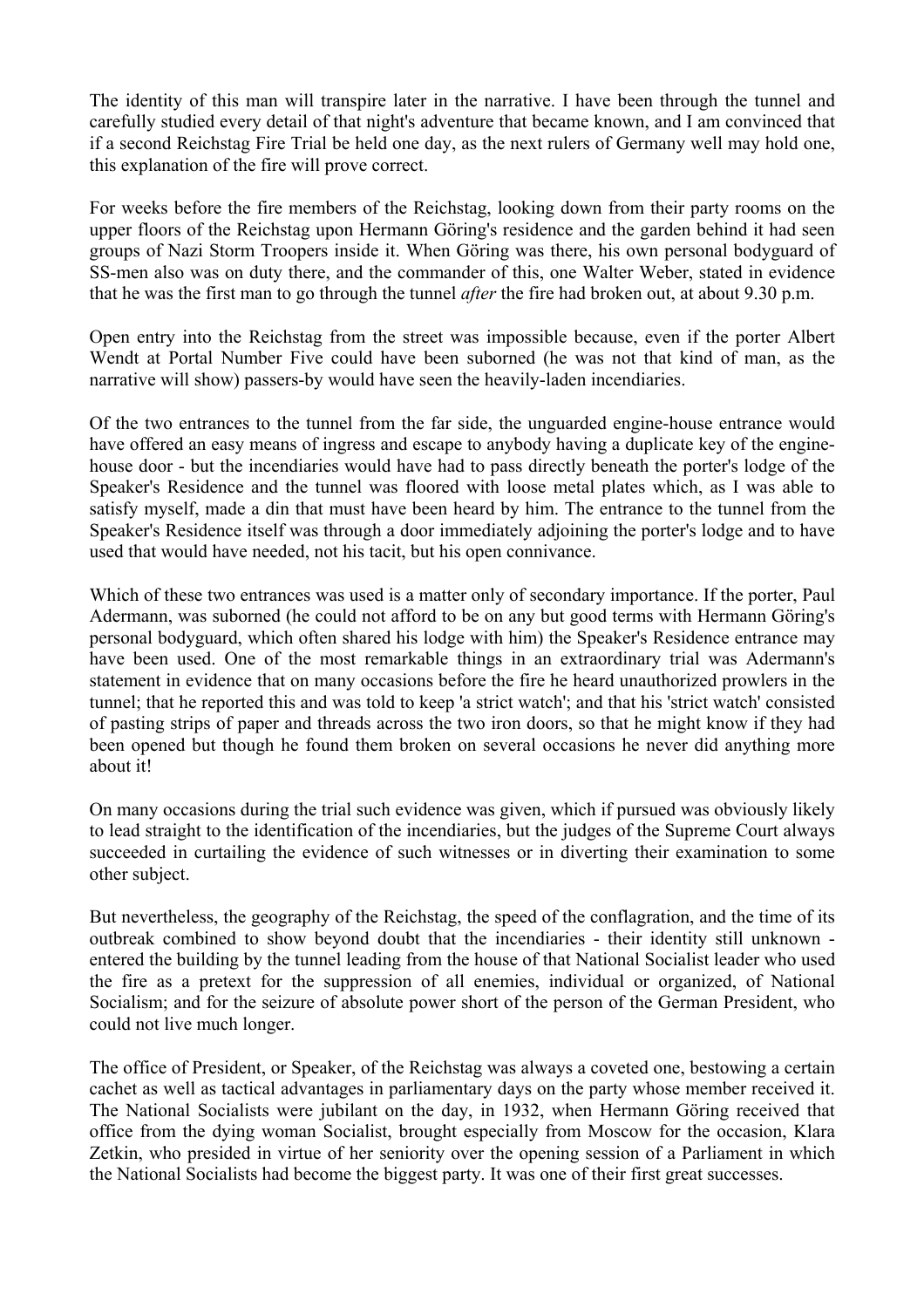The identity of this man will transpire later in the narrative. I have been through the tunnel and carefully studied every detail of that night's adventure that became known, and I am convinced that if a second Reichstag Fire Trial be held one day, as the next rulers of Germany well may hold one, this explanation of the fire will prove correct.

For weeks before the fire members of the Reichstag, looking down from their party rooms on the upper floors of the Reichstag upon Hermann Göring's residence and the garden behind it had seen groups of Nazi Storm Troopers inside it. When Göring was there, his own personal bodyguard of SS-men also was on duty there, and the commander of this, one Walter Weber, stated in evidence that he was the first man to go through the tunnel *after* the fire had broken out, at about 9.30 p.m.

Open entry into the Reichstag from the street was impossible because, even if the porter Albert Wendt at Portal Number Five could have been suborned (he was not that kind of man, as the narrative will show) passers-by would have seen the heavily-laden incendiaries.

Of the two entrances to the tunnel from the far side, the unguarded engine-house entrance would have offered an easy means of ingress and escape to anybody having a duplicate key of the enginehouse door - but the incendiaries would have had to pass directly beneath the porter's lodge of the Speaker's Residence and the tunnel was floored with loose metal plates which, as I was able to satisfy myself, made a din that must have been heard by him. The entrance to the tunnel from the Speaker's Residence itself was through a door immediately adjoining the porter's lodge and to have used that would have needed, not his tacit, but his open connivance.

Which of these two entrances was used is a matter only of secondary importance. If the porter, Paul Adermann, was suborned (he could not afford to be on any but good terms with Hermann Göring's personal bodyguard, which often shared his lodge with him) the Speaker's Residence entrance may have been used. One of the most remarkable things in an extraordinary trial was Adermann's statement in evidence that on many occasions before the fire he heard unauthorized prowlers in the tunnel; that he reported this and was told to keep 'a strict watch'; and that his 'strict watch' consisted of pasting strips of paper and threads across the two iron doors, so that he might know if they had been opened but though he found them broken on several occasions he never did anything more about it!

On many occasions during the trial such evidence was given, which if pursued was obviously likely to lead straight to the identification of the incendiaries, but the judges of the Supreme Court always succeeded in curtailing the evidence of such witnesses or in diverting their examination to some other subject.

But nevertheless, the geography of the Reichstag, the speed of the conflagration, and the time of its outbreak combined to show beyond doubt that the incendiaries - their identity still unknown entered the building by the tunnel leading from the house of that National Socialist leader who used the fire as a pretext for the suppression of all enemies, individual or organized, of National Socialism; and for the seizure of absolute power short of the person of the German President, who could not live much longer.

The office of President, or Speaker, of the Reichstag was always a coveted one, bestowing a certain cachet as well as tactical advantages in parliamentary days on the party whose member received it. The National Socialists were jubilant on the day, in 1932, when Hermann Göring received that office from the dying woman Socialist, brought especially from Moscow for the occasion, Klara Zetkin, who presided in virtue of her seniority over the opening session of a Parliament in which the National Socialists had become the biggest party. It was one of their first great successes.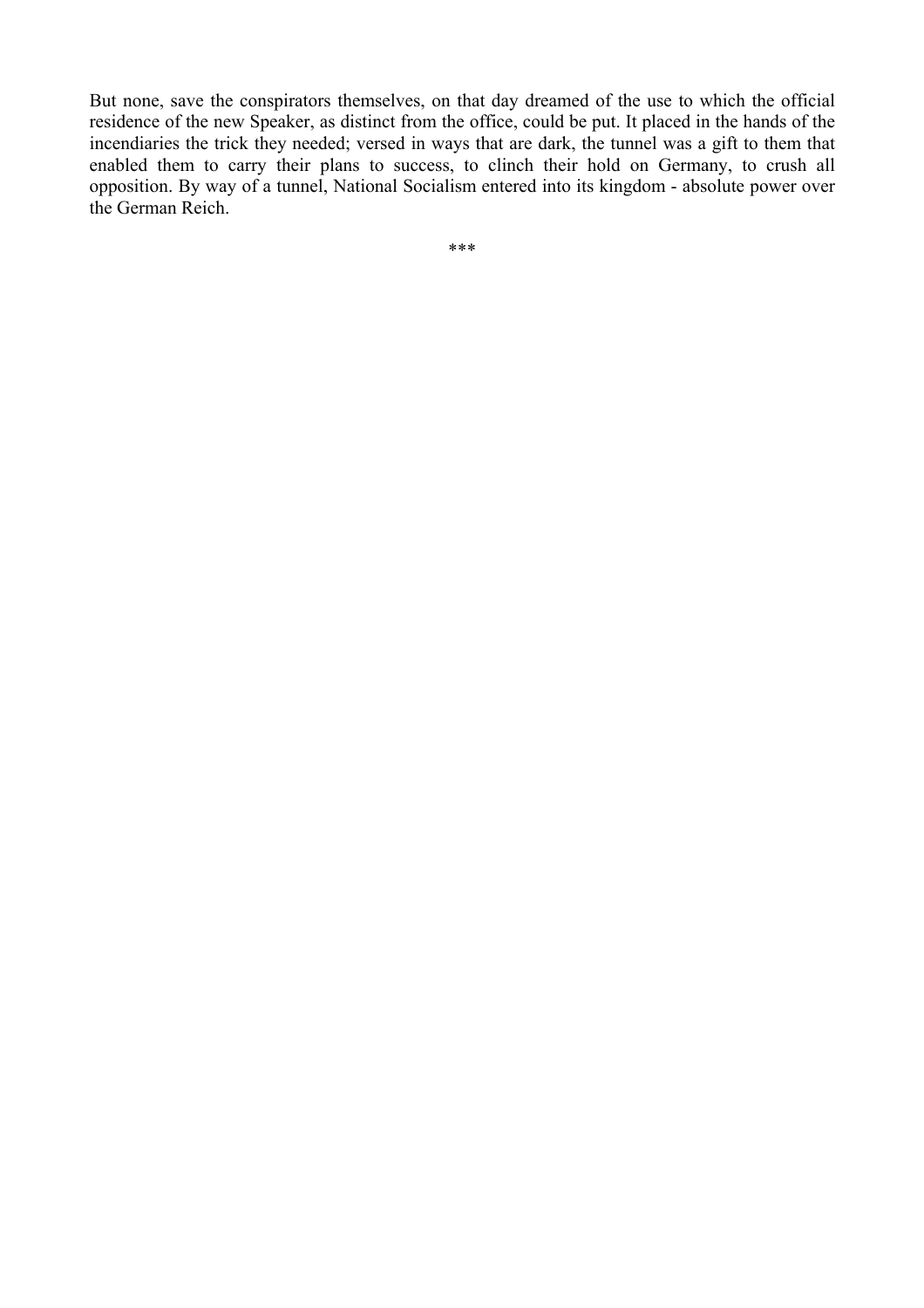But none, save the conspirators themselves, on that day dreamed of the use to which the official residence of the new Speaker, as distinct from the office, could be put. It placed in the hands of the incendiaries the trick they needed; versed in ways that are dark, the tunnel was a gift to them that enabled them to carry their plans to success, to clinch their hold on Germany, to crush all opposition. By way of a tunnel, National Socialism entered into its kingdom - absolute power over the German Reich.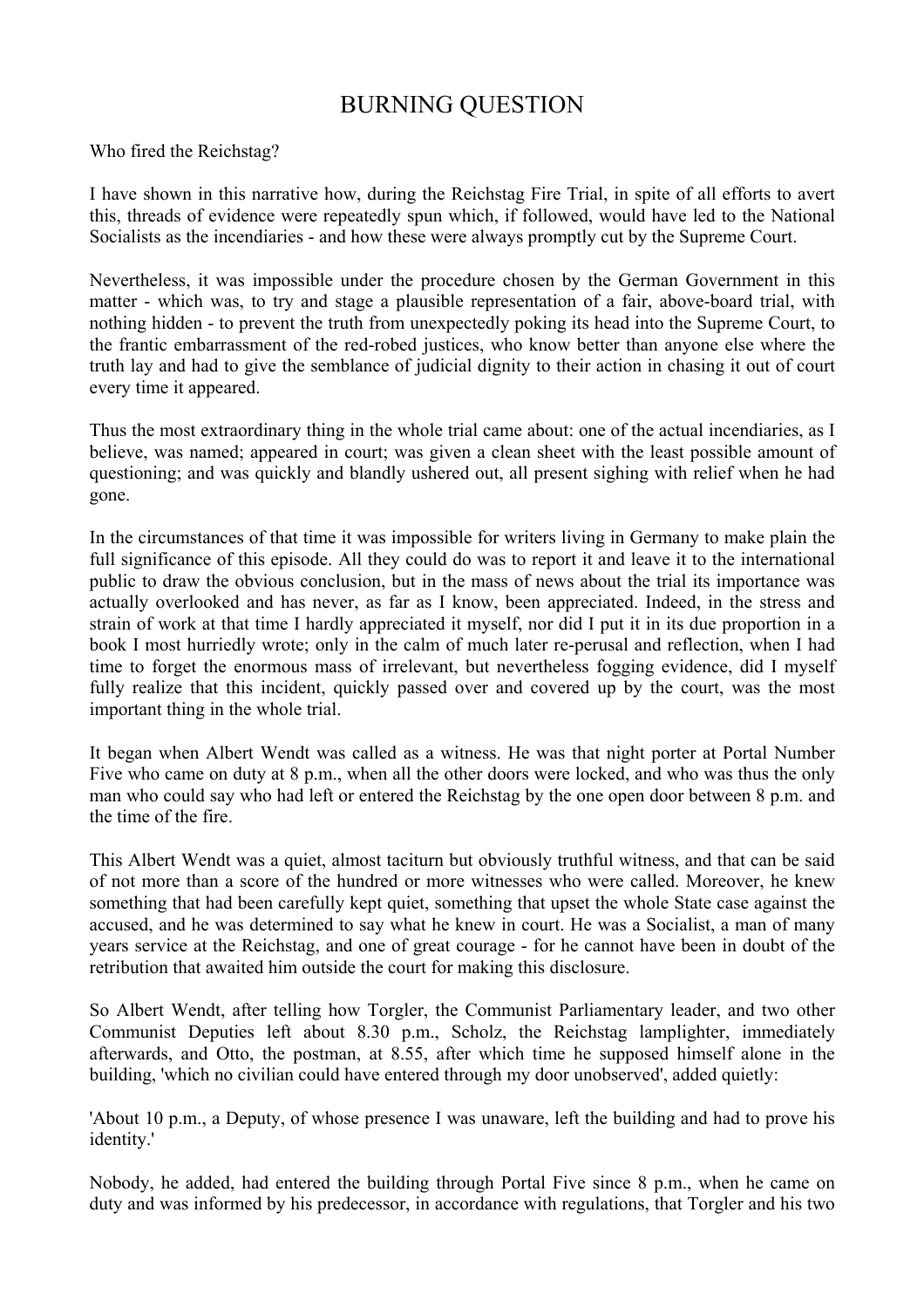# BURNING QUESTION

<span id="page-12-0"></span>Who fired the Reichstag?

I have shown in this narrative how, during the Reichstag Fire Trial, in spite of all efforts to avert this, threads of evidence were repeatedly spun which, if followed, would have led to the National Socialists as the incendiaries - and how these were always promptly cut by the Supreme Court.

Nevertheless, it was impossible under the procedure chosen by the German Government in this matter - which was, to try and stage a plausible representation of a fair, above-board trial, with nothing hidden - to prevent the truth from unexpectedly poking its head into the Supreme Court, to the frantic embarrassment of the red-robed justices, who know better than anyone else where the truth lay and had to give the semblance of judicial dignity to their action in chasing it out of court every time it appeared.

Thus the most extraordinary thing in the whole trial came about: one of the actual incendiaries, as I believe, was named; appeared in court; was given a clean sheet with the least possible amount of questioning; and was quickly and blandly ushered out, all present sighing with relief when he had gone.

In the circumstances of that time it was impossible for writers living in Germany to make plain the full significance of this episode. All they could do was to report it and leave it to the international public to draw the obvious conclusion, but in the mass of news about the trial its importance was actually overlooked and has never, as far as I know, been appreciated. Indeed, in the stress and strain of work at that time I hardly appreciated it myself, nor did I put it in its due proportion in a book I most hurriedly wrote; only in the calm of much later re-perusal and reflection, when I had time to forget the enormous mass of irrelevant, but nevertheless fogging evidence, did I myself fully realize that this incident, quickly passed over and covered up by the court, was the most important thing in the whole trial.

It began when Albert Wendt was called as a witness. He was that night porter at Portal Number Five who came on duty at 8 p.m., when all the other doors were locked, and who was thus the only man who could say who had left or entered the Reichstag by the one open door between 8 p.m. and the time of the fire.

This Albert Wendt was a quiet, almost taciturn but obviously truthful witness, and that can be said of not more than a score of the hundred or more witnesses who were called. Moreover, he knew something that had been carefully kept quiet, something that upset the whole State case against the accused, and he was determined to say what he knew in court. He was a Socialist, a man of many years service at the Reichstag, and one of great courage - for he cannot have been in doubt of the retribution that awaited him outside the court for making this disclosure.

So Albert Wendt, after telling how Torgler, the Communist Parliamentary leader, and two other Communist Deputies left about 8.30 p.m., Scholz, the Reichstag lamplighter, immediately afterwards, and Otto, the postman, at 8.55, after which time he supposed himself alone in the building, 'which no civilian could have entered through my door unobserved', added quietly:

'About 10 p.m., a Deputy, of whose presence I was unaware, left the building and had to prove his identity.'

Nobody, he added, had entered the building through Portal Five since 8 p.m., when he came on duty and was informed by his predecessor, in accordance with regulations, that Torgler and his two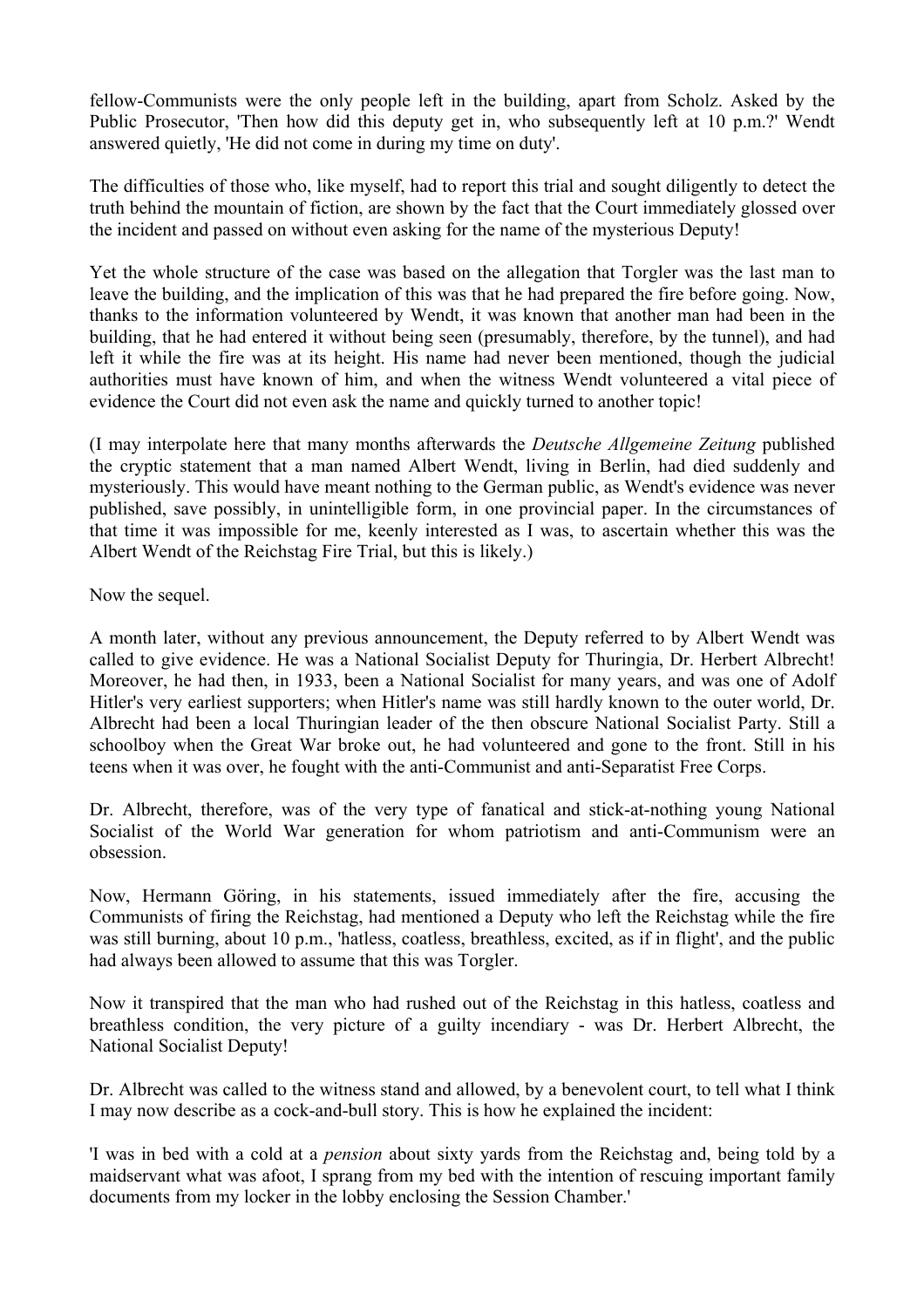fellow-Communists were the only people left in the building, apart from Scholz. Asked by the Public Prosecutor, 'Then how did this deputy get in, who subsequently left at 10 p.m.?' Wendt answered quietly, 'He did not come in during my time on duty'.

The difficulties of those who, like myself, had to report this trial and sought diligently to detect the truth behind the mountain of fiction, are shown by the fact that the Court immediately glossed over the incident and passed on without even asking for the name of the mysterious Deputy!

Yet the whole structure of the case was based on the allegation that Torgler was the last man to leave the building, and the implication of this was that he had prepared the fire before going. Now, thanks to the information volunteered by Wendt, it was known that another man had been in the building, that he had entered it without being seen (presumably, therefore, by the tunnel), and had left it while the fire was at its height. His name had never been mentioned, though the judicial authorities must have known of him, and when the witness Wendt volunteered a vital piece of evidence the Court did not even ask the name and quickly turned to another topic!

(I may interpolate here that many months afterwards the *Deutsche Allgemeine Zeitung* published the cryptic statement that a man named Albert Wendt, living in Berlin, had died suddenly and mysteriously. This would have meant nothing to the German public, as Wendt's evidence was never published, save possibly, in unintelligible form, in one provincial paper. In the circumstances of that time it was impossible for me, keenly interested as I was, to ascertain whether this was the Albert Wendt of the Reichstag Fire Trial, but this is likely.)

Now the sequel.

A month later, without any previous announcement, the Deputy referred to by Albert Wendt was called to give evidence. He was a National Socialist Deputy for Thuringia, Dr. Herbert Albrecht! Moreover, he had then, in 1933, been a National Socialist for many years, and was one of Adolf Hitler's very earliest supporters; when Hitler's name was still hardly known to the outer world, Dr. Albrecht had been a local Thuringian leader of the then obscure National Socialist Party. Still a schoolboy when the Great War broke out, he had volunteered and gone to the front. Still in his teens when it was over, he fought with the anti-Communist and anti-Separatist Free Corps.

Dr. Albrecht, therefore, was of the very type of fanatical and stick-at-nothing young National Socialist of the World War generation for whom patriotism and anti-Communism were an obsession.

Now, Hermann Göring, in his statements, issued immediately after the fire, accusing the Communists of firing the Reichstag, had mentioned a Deputy who left the Reichstag while the fire was still burning, about 10 p.m., 'hatless, coatless, breathless, excited, as if in flight', and the public had always been allowed to assume that this was Torgler.

Now it transpired that the man who had rushed out of the Reichstag in this hatless, coatless and breathless condition, the very picture of a guilty incendiary - was Dr. Herbert Albrecht, the National Socialist Deputy!

Dr. Albrecht was called to the witness stand and allowed, by a benevolent court, to tell what I think I may now describe as a cock-and-bull story. This is how he explained the incident:

'I was in bed with a cold at a *pension* about sixty yards from the Reichstag and, being told by a maidservant what was afoot, I sprang from my bed with the intention of rescuing important family documents from my locker in the lobby enclosing the Session Chamber.'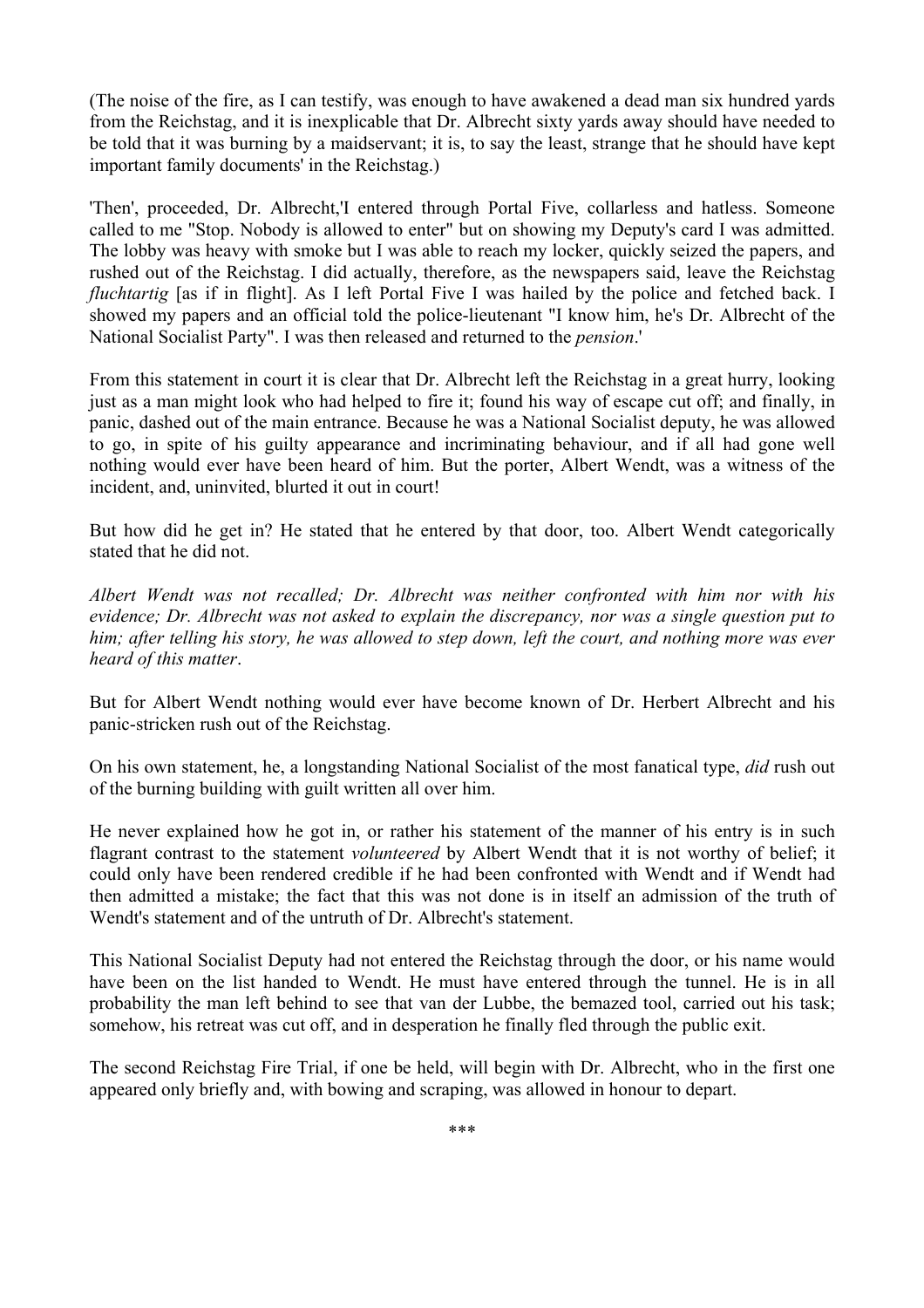(The noise of the fire, as I can testify, was enough to have awakened a dead man six hundred yards from the Reichstag, and it is inexplicable that Dr. Albrecht sixty yards away should have needed to be told that it was burning by a maidservant; it is, to say the least, strange that he should have kept important family documents' in the Reichstag.)

'Then', proceeded, Dr. Albrecht,'I entered through Portal Five, collarless and hatless. Someone called to me "Stop. Nobody is allowed to enter" but on showing my Deputy's card I was admitted. The lobby was heavy with smoke but I was able to reach my locker, quickly seized the papers, and rushed out of the Reichstag. I did actually, therefore, as the newspapers said, leave the Reichstag *fluchtartig* [as if in flight]. As I left Portal Five I was hailed by the police and fetched back. I showed my papers and an official told the police-lieutenant "I know him, he's Dr. Albrecht of the National Socialist Party". I was then released and returned to the *pension*.'

From this statement in court it is clear that Dr. Albrecht left the Reichstag in a great hurry, looking just as a man might look who had helped to fire it; found his way of escape cut off; and finally, in panic, dashed out of the main entrance. Because he was a National Socialist deputy, he was allowed to go, in spite of his guilty appearance and incriminating behaviour, and if all had gone well nothing would ever have been heard of him. But the porter, Albert Wendt, was a witness of the incident, and, uninvited, blurted it out in court!

But how did he get in? He stated that he entered by that door, too. Albert Wendt categorically stated that he did not.

*Albert Wendt was not recalled; Dr. Albrecht was neither confronted with him nor with his evidence; Dr. Albrecht was not asked to explain the discrepancy, nor was a single question put to him; after telling his story, he was allowed to step down, left the court, and nothing more was ever heard of this matter*.

But for Albert Wendt nothing would ever have become known of Dr. Herbert Albrecht and his panic-stricken rush out of the Reichstag.

On his own statement, he, a longstanding National Socialist of the most fanatical type, *did* rush out of the burning building with guilt written all over him.

He never explained how he got in, or rather his statement of the manner of his entry is in such flagrant contrast to the statement *volunteered* by Albert Wendt that it is not worthy of belief; it could only have been rendered credible if he had been confronted with Wendt and if Wendt had then admitted a mistake; the fact that this was not done is in itself an admission of the truth of Wendt's statement and of the untruth of Dr. Albrecht's statement.

This National Socialist Deputy had not entered the Reichstag through the door, or his name would have been on the list handed to Wendt. He must have entered through the tunnel. He is in all probability the man left behind to see that van der Lubbe, the bemazed tool, carried out his task; somehow, his retreat was cut off, and in desperation he finally fled through the public exit.

The second Reichstag Fire Trial, if one be held, will begin with Dr. Albrecht, who in the first one appeared only briefly and, with bowing and scraping, was allowed in honour to depart.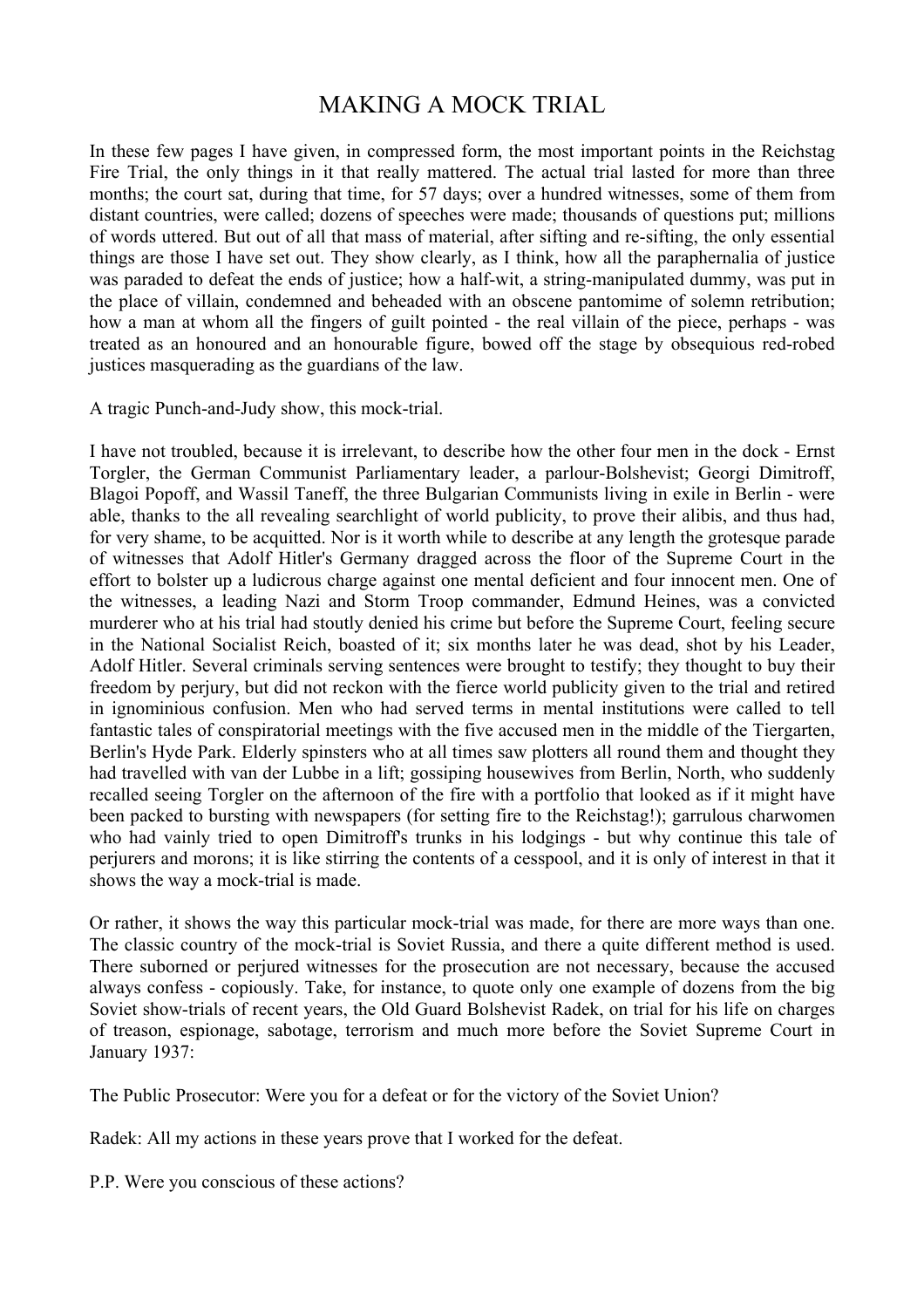# MAKING A MOCK TRIAL

<span id="page-15-0"></span>In these few pages I have given, in compressed form, the most important points in the Reichstag Fire Trial, the only things in it that really mattered. The actual trial lasted for more than three months; the court sat, during that time, for 57 days; over a hundred witnesses, some of them from distant countries, were called; dozens of speeches were made; thousands of questions put; millions of words uttered. But out of all that mass of material, after sifting and re-sifting, the only essential things are those I have set out. They show clearly, as I think, how all the paraphernalia of justice was paraded to defeat the ends of justice; how a half-wit, a string-manipulated dummy, was put in the place of villain, condemned and beheaded with an obscene pantomime of solemn retribution; how a man at whom all the fingers of guilt pointed - the real villain of the piece, perhaps - was treated as an honoured and an honourable figure, bowed off the stage by obsequious red-robed justices masquerading as the guardians of the law.

A tragic Punch-and-Judy show, this mock-trial.

I have not troubled, because it is irrelevant, to describe how the other four men in the dock - Ernst Torgler, the German Communist Parliamentary leader, a parlour-Bolshevist; Georgi Dimitroff, Blagoi Popoff, and Wassil Taneff, the three Bulgarian Communists living in exile in Berlin - were able, thanks to the all revealing searchlight of world publicity, to prove their alibis, and thus had, for very shame, to be acquitted. Nor is it worth while to describe at any length the grotesque parade of witnesses that Adolf Hitler's Germany dragged across the floor of the Supreme Court in the effort to bolster up a ludicrous charge against one mental deficient and four innocent men. One of the witnesses, a leading Nazi and Storm Troop commander, Edmund Heines, was a convicted murderer who at his trial had stoutly denied his crime but before the Supreme Court, feeling secure in the National Socialist Reich, boasted of it; six months later he was dead, shot by his Leader, Adolf Hitler. Several criminals serving sentences were brought to testify; they thought to buy their freedom by perjury, but did not reckon with the fierce world publicity given to the trial and retired in ignominious confusion. Men who had served terms in mental institutions were called to tell fantastic tales of conspiratorial meetings with the five accused men in the middle of the Tiergarten, Berlin's Hyde Park. Elderly spinsters who at all times saw plotters all round them and thought they had travelled with van der Lubbe in a lift; gossiping housewives from Berlin, North, who suddenly recalled seeing Torgler on the afternoon of the fire with a portfolio that looked as if it might have been packed to bursting with newspapers (for setting fire to the Reichstag!); garrulous charwomen who had vainly tried to open Dimitroff's trunks in his lodgings - but why continue this tale of perjurers and morons; it is like stirring the contents of a cesspool, and it is only of interest in that it shows the way a mock-trial is made.

Or rather, it shows the way this particular mock-trial was made, for there are more ways than one. The classic country of the mock-trial is Soviet Russia, and there a quite different method is used. There suborned or perjured witnesses for the prosecution are not necessary, because the accused always confess - copiously. Take, for instance, to quote only one example of dozens from the big Soviet show-trials of recent years, the Old Guard Bolshevist Radek, on trial for his life on charges of treason, espionage, sabotage, terrorism and much more before the Soviet Supreme Court in January 1937:

The Public Prosecutor: Were you for a defeat or for the victory of the Soviet Union?

Radek: All my actions in these years prove that I worked for the defeat.

P.P. Were you conscious of these actions?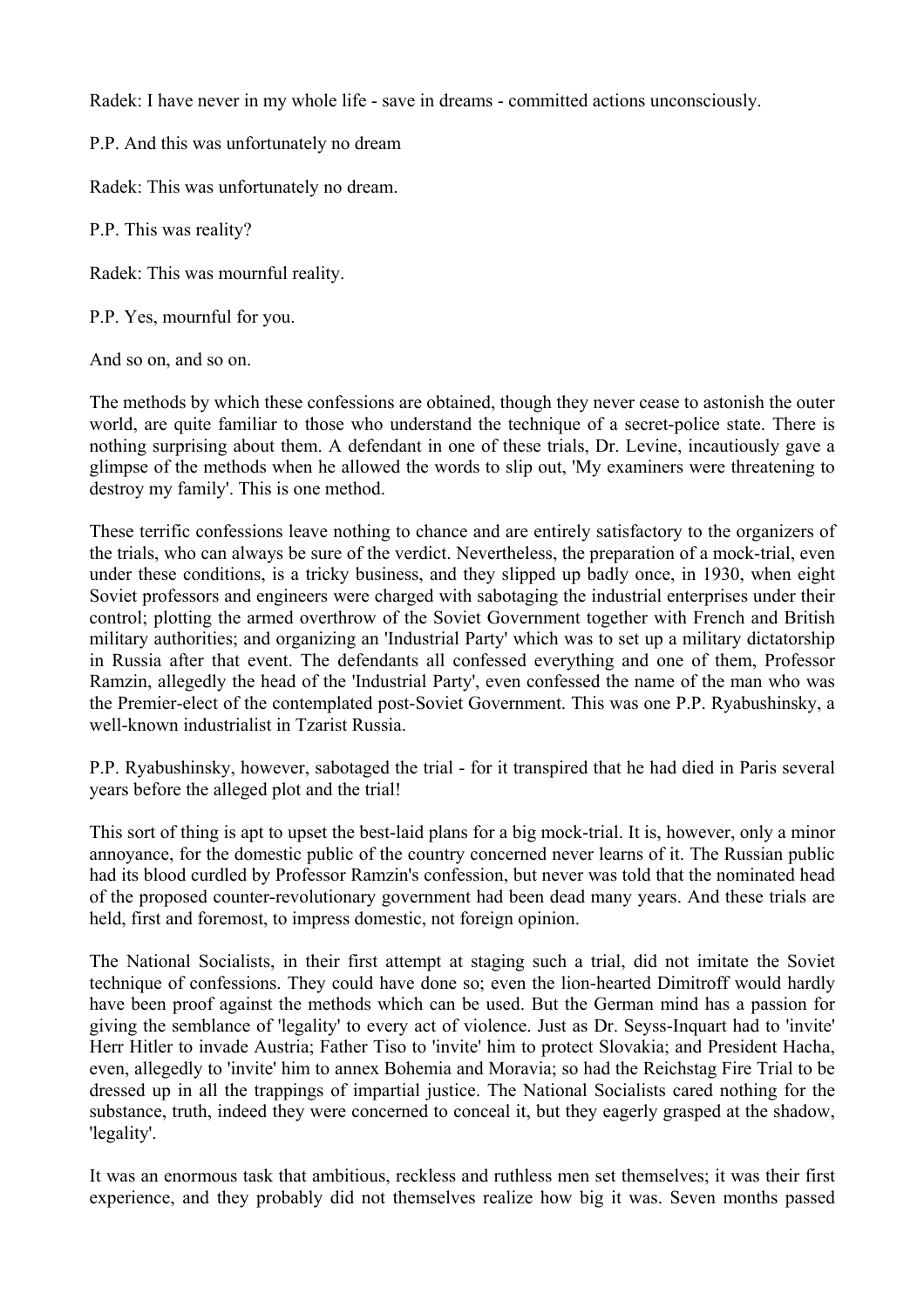Radek: I have never in my whole life - save in dreams - committed actions unconsciously.

P.P. And this was unfortunately no dream

Radek: This was unfortunately no dream.

P.P. This was reality?

Radek: This was mournful reality.

P.P. Yes, mournful for you.

And so on, and so on.

The methods by which these confessions are obtained, though they never cease to astonish the outer world, are quite familiar to those who understand the technique of a secret-police state. There is nothing surprising about them. A defendant in one of these trials, Dr. Levine, incautiously gave a glimpse of the methods when he allowed the words to slip out, 'My examiners were threatening to destroy my family'. This is one method.

These terrific confessions leave nothing to chance and are entirely satisfactory to the organizers of the trials, who can always be sure of the verdict. Nevertheless, the preparation of a mock-trial, even under these conditions, is a tricky business, and they slipped up badly once, in 1930, when eight Soviet professors and engineers were charged with sabotaging the industrial enterprises under their control; plotting the armed overthrow of the Soviet Government together with French and British military authorities; and organizing an 'Industrial Party' which was to set up a military dictatorship in Russia after that event. The defendants all confessed everything and one of them, Professor Ramzin, allegedly the head of the 'Industrial Party', even confessed the name of the man who was the Premier-elect of the contemplated post-Soviet Government. This was one P.P. Ryabushinsky, a well-known industrialist in Tzarist Russia.

P.P. Ryabushinsky, however, sabotaged the trial - for it transpired that he had died in Paris several years before the alleged plot and the trial!

This sort of thing is apt to upset the best-laid plans for a big mock-trial. It is, however, only a minor annoyance, for the domestic public of the country concerned never learns of it. The Russian public had its blood curdled by Professor Ramzin's confession, but never was told that the nominated head of the proposed counter-revolutionary government had been dead many years. And these trials are held, first and foremost, to impress domestic, not foreign opinion.

The National Socialists, in their first attempt at staging such a trial, did not imitate the Soviet technique of confessions. They could have done so; even the lion-hearted Dimitroff would hardly have been proof against the methods which can be used. But the German mind has a passion for giving the semblance of 'legality' to every act of violence. Just as Dr. Seyss-Inquart had to 'invite' Herr Hitler to invade Austria; Father Tiso to 'invite' him to protect Slovakia; and President Hacha, even, allegedly to 'invite' him to annex Bohemia and Moravia; so had the Reichstag Fire Trial to be dressed up in all the trappings of impartial justice. The National Socialists cared nothing for the substance, truth, indeed they were concerned to conceal it, but they eagerly grasped at the shadow, 'legality'.

It was an enormous task that ambitious, reckless and ruthless men set themselves; it was their first experience, and they probably did not themselves realize how big it was. Seven months passed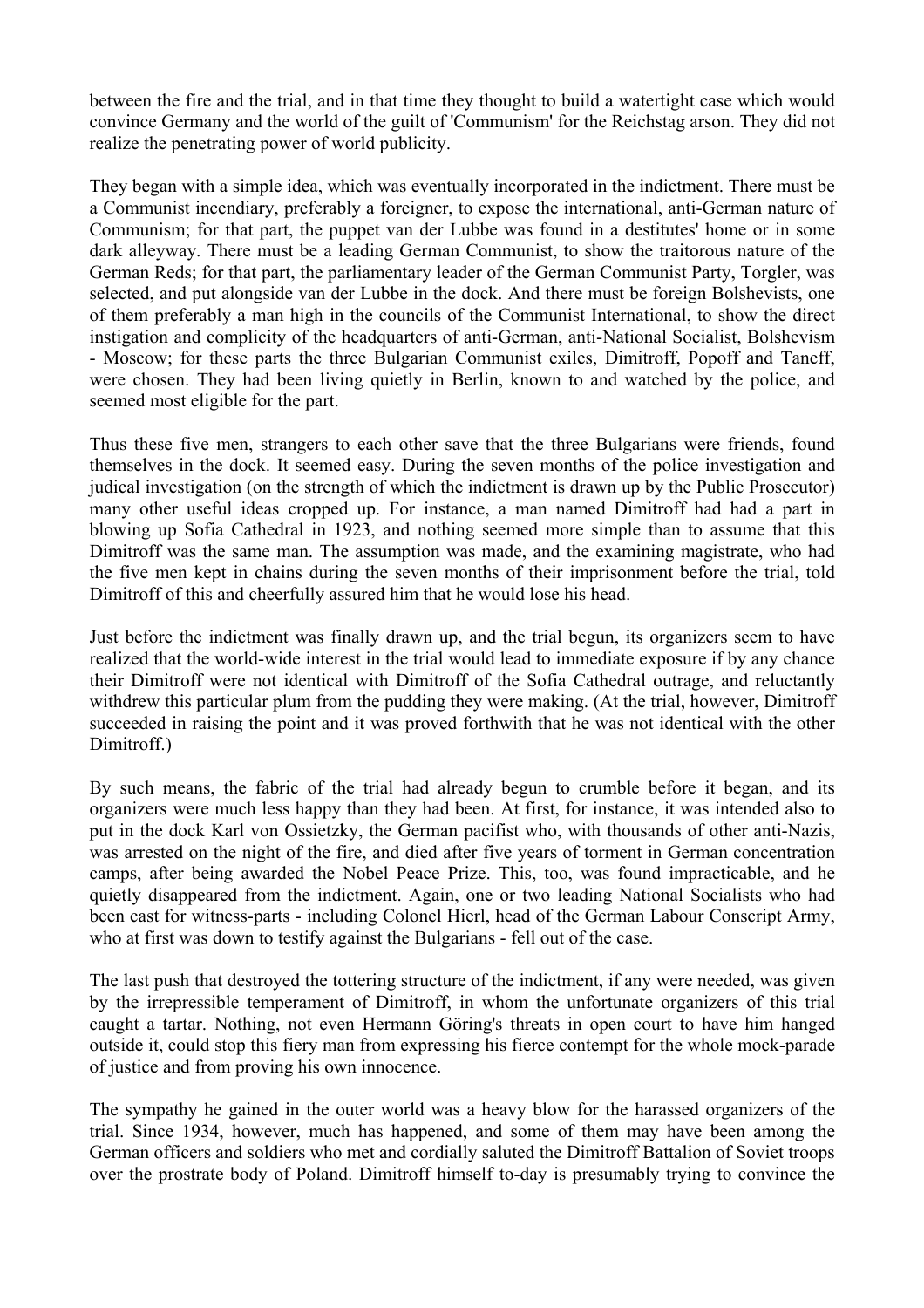between the fire and the trial, and in that time they thought to build a watertight case which would convince Germany and the world of the guilt of 'Communism' for the Reichstag arson. They did not realize the penetrating power of world publicity.

They began with a simple idea, which was eventually incorporated in the indictment. There must be a Communist incendiary, preferably a foreigner, to expose the international, anti-German nature of Communism; for that part, the puppet van der Lubbe was found in a destitutes' home or in some dark alleyway. There must be a leading German Communist, to show the traitorous nature of the German Reds; for that part, the parliamentary leader of the German Communist Party, Torgler, was selected, and put alongside van der Lubbe in the dock. And there must be foreign Bolshevists, one of them preferably a man high in the councils of the Communist International, to show the direct instigation and complicity of the headquarters of anti-German, anti-National Socialist, Bolshevism - Moscow; for these parts the three Bulgarian Communist exiles, Dimitroff, Popoff and Taneff, were chosen. They had been living quietly in Berlin, known to and watched by the police, and seemed most eligible for the part.

Thus these five men, strangers to each other save that the three Bulgarians were friends, found themselves in the dock. It seemed easy. During the seven months of the police investigation and judical investigation (on the strength of which the indictment is drawn up by the Public Prosecutor) many other useful ideas cropped up. For instance, a man named Dimitroff had had a part in blowing up Sofia Cathedral in 1923, and nothing seemed more simple than to assume that this Dimitroff was the same man. The assumption was made, and the examining magistrate, who had the five men kept in chains during the seven months of their imprisonment before the trial, told Dimitroff of this and cheerfully assured him that he would lose his head.

Just before the indictment was finally drawn up, and the trial begun, its organizers seem to have realized that the world-wide interest in the trial would lead to immediate exposure if by any chance their Dimitroff were not identical with Dimitroff of the Sofia Cathedral outrage, and reluctantly withdrew this particular plum from the pudding they were making. (At the trial, however, Dimitroff succeeded in raising the point and it was proved forthwith that he was not identical with the other Dimitroff.)

By such means, the fabric of the trial had already begun to crumble before it began, and its organizers were much less happy than they had been. At first, for instance, it was intended also to put in the dock Karl von Ossietzky, the German pacifist who, with thousands of other anti-Nazis, was arrested on the night of the fire, and died after five years of torment in German concentration camps, after being awarded the Nobel Peace Prize. This, too, was found impracticable, and he quietly disappeared from the indictment. Again, one or two leading National Socialists who had been cast for witness-parts - including Colonel Hierl, head of the German Labour Conscript Army, who at first was down to testify against the Bulgarians - fell out of the case.

The last push that destroyed the tottering structure of the indictment, if any were needed, was given by the irrepressible temperament of Dimitroff, in whom the unfortunate organizers of this trial caught a tartar. Nothing, not even Hermann Göring's threats in open court to have him hanged outside it, could stop this fiery man from expressing his fierce contempt for the whole mock-parade of justice and from proving his own innocence.

The sympathy he gained in the outer world was a heavy blow for the harassed organizers of the trial. Since 1934, however, much has happened, and some of them may have been among the German officers and soldiers who met and cordially saluted the Dimitroff Battalion of Soviet troops over the prostrate body of Poland. Dimitroff himself to-day is presumably trying to convince the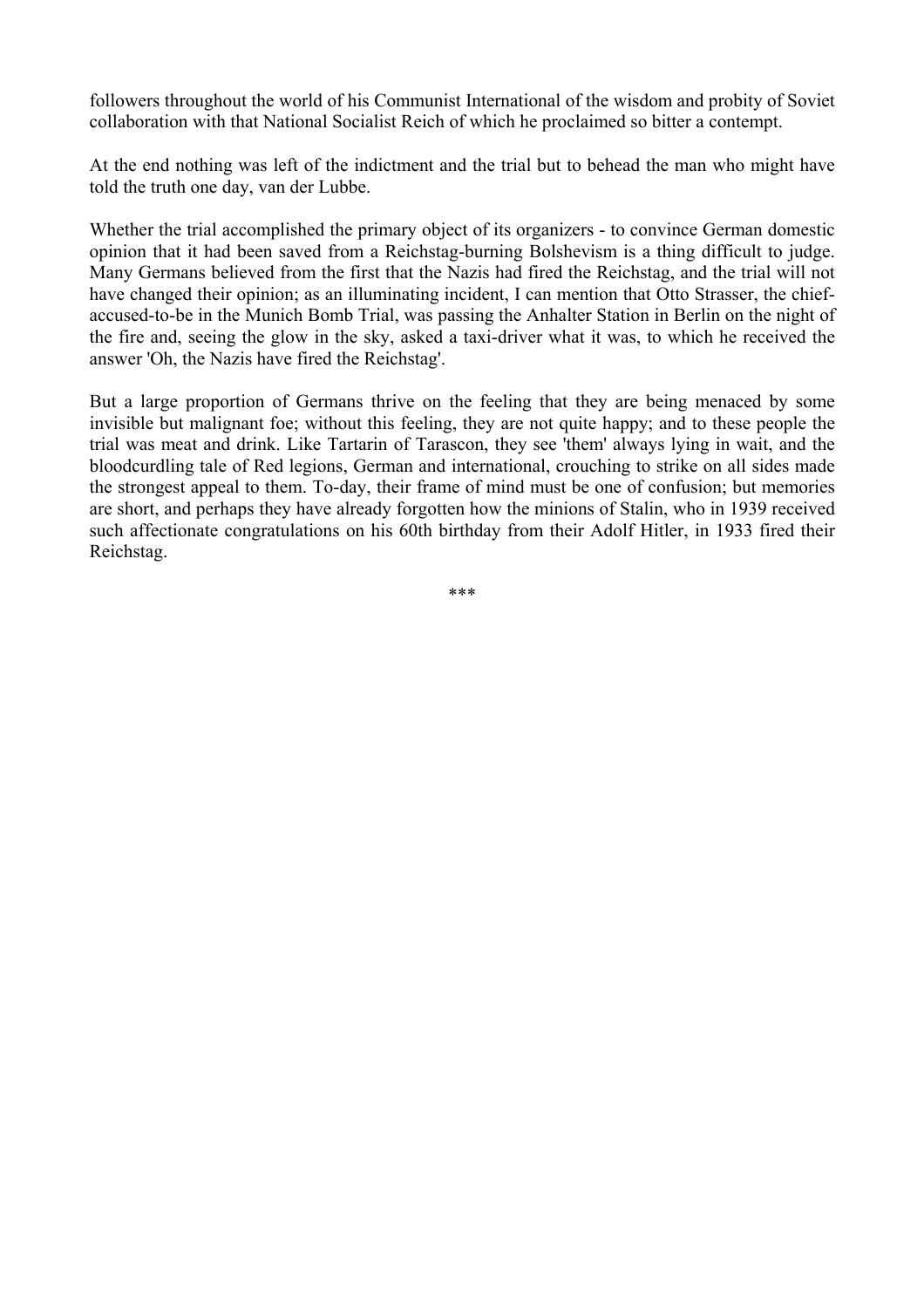followers throughout the world of his Communist International of the wisdom and probity of Soviet collaboration with that National Socialist Reich of which he proclaimed so bitter a contempt.

At the end nothing was left of the indictment and the trial but to behead the man who might have told the truth one day, van der Lubbe.

Whether the trial accomplished the primary object of its organizers - to convince German domestic opinion that it had been saved from a Reichstag-burning Bolshevism is a thing difficult to judge. Many Germans believed from the first that the Nazis had fired the Reichstag, and the trial will not have changed their opinion; as an illuminating incident, I can mention that Otto Strasser, the chiefaccused-to-be in the Munich Bomb Trial, was passing the Anhalter Station in Berlin on the night of the fire and, seeing the glow in the sky, asked a taxi-driver what it was, to which he received the answer 'Oh, the Nazis have fired the Reichstag'.

But a large proportion of Germans thrive on the feeling that they are being menaced by some invisible but malignant foe; without this feeling, they are not quite happy; and to these people the trial was meat and drink. Like Tartarin of Tarascon, they see 'them' always lying in wait, and the bloodcurdling tale of Red legions, German and international, crouching to strike on all sides made the strongest appeal to them. To-day, their frame of mind must be one of confusion; but memories are short, and perhaps they have already forgotten how the minions of Stalin, who in 1939 received such affectionate congratulations on his 60th birthday from their Adolf Hitler, in 1933 fired their Reichstag.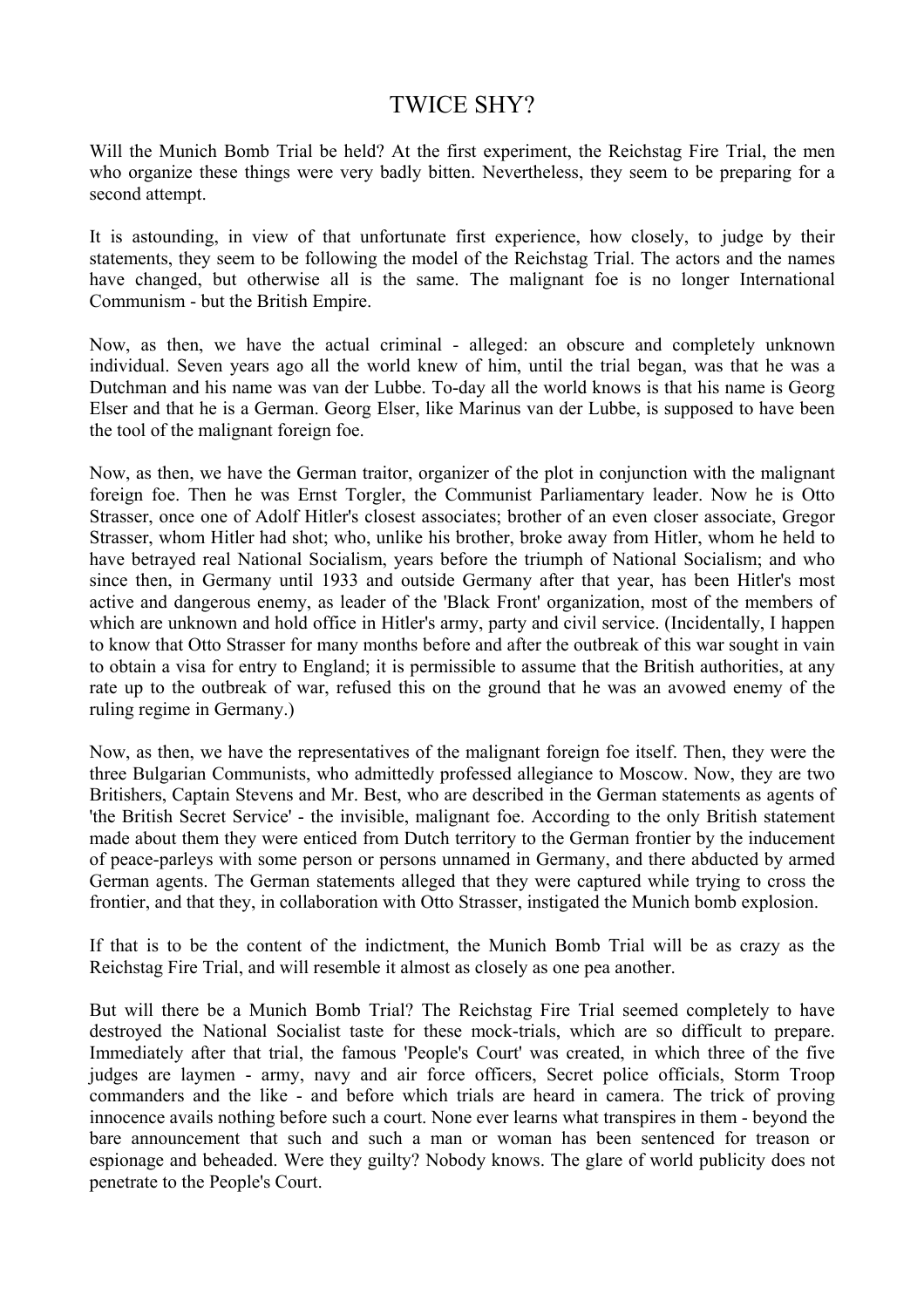#### TWICE SHY?

<span id="page-19-0"></span>Will the Munich Bomb Trial be held? At the first experiment, the Reichstag Fire Trial, the men who organize these things were very badly bitten. Nevertheless, they seem to be preparing for a second attempt.

It is astounding, in view of that unfortunate first experience, how closely, to judge by their statements, they seem to be following the model of the Reichstag Trial. The actors and the names have changed, but otherwise all is the same. The malignant foe is no longer International Communism - but the British Empire.

Now, as then, we have the actual criminal - alleged: an obscure and completely unknown individual. Seven years ago all the world knew of him, until the trial began, was that he was a Dutchman and his name was van der Lubbe. To-day all the world knows is that his name is Georg Elser and that he is a German. Georg Elser, like Marinus van der Lubbe, is supposed to have been the tool of the malignant foreign foe.

Now, as then, we have the German traitor, organizer of the plot in conjunction with the malignant foreign foe. Then he was Ernst Torgler, the Communist Parliamentary leader. Now he is Otto Strasser, once one of Adolf Hitler's closest associates; brother of an even closer associate, Gregor Strasser, whom Hitler had shot; who, unlike his brother, broke away from Hitler, whom he held to have betrayed real National Socialism, years before the triumph of National Socialism; and who since then, in Germany until 1933 and outside Germany after that year, has been Hitler's most active and dangerous enemy, as leader of the 'Black Front' organization, most of the members of which are unknown and hold office in Hitler's army, party and civil service. (Incidentally, I happen to know that Otto Strasser for many months before and after the outbreak of this war sought in vain to obtain a visa for entry to England; it is permissible to assume that the British authorities, at any rate up to the outbreak of war, refused this on the ground that he was an avowed enemy of the ruling regime in Germany.)

Now, as then, we have the representatives of the malignant foreign foe itself. Then, they were the three Bulgarian Communists, who admittedly professed allegiance to Moscow. Now, they are two Britishers, Captain Stevens and Mr. Best, who are described in the German statements as agents of 'the British Secret Service' - the invisible, malignant foe. According to the only British statement made about them they were enticed from Dutch territory to the German frontier by the inducement of peace-parleys with some person or persons unnamed in Germany, and there abducted by armed German agents. The German statements alleged that they were captured while trying to cross the frontier, and that they, in collaboration with Otto Strasser, instigated the Munich bomb explosion.

If that is to be the content of the indictment, the Munich Bomb Trial will be as crazy as the Reichstag Fire Trial, and will resemble it almost as closely as one pea another.

But will there be a Munich Bomb Trial? The Reichstag Fire Trial seemed completely to have destroyed the National Socialist taste for these mock-trials, which are so difficult to prepare. Immediately after that trial, the famous 'People's Court' was created, in which three of the five judges are laymen - army, navy and air force officers, Secret police officials, Storm Troop commanders and the like - and before which trials are heard in camera. The trick of proving innocence avails nothing before such a court. None ever learns what transpires in them - beyond the bare announcement that such and such a man or woman has been sentenced for treason or espionage and beheaded. Were they guilty? Nobody knows. The glare of world publicity does not penetrate to the People's Court.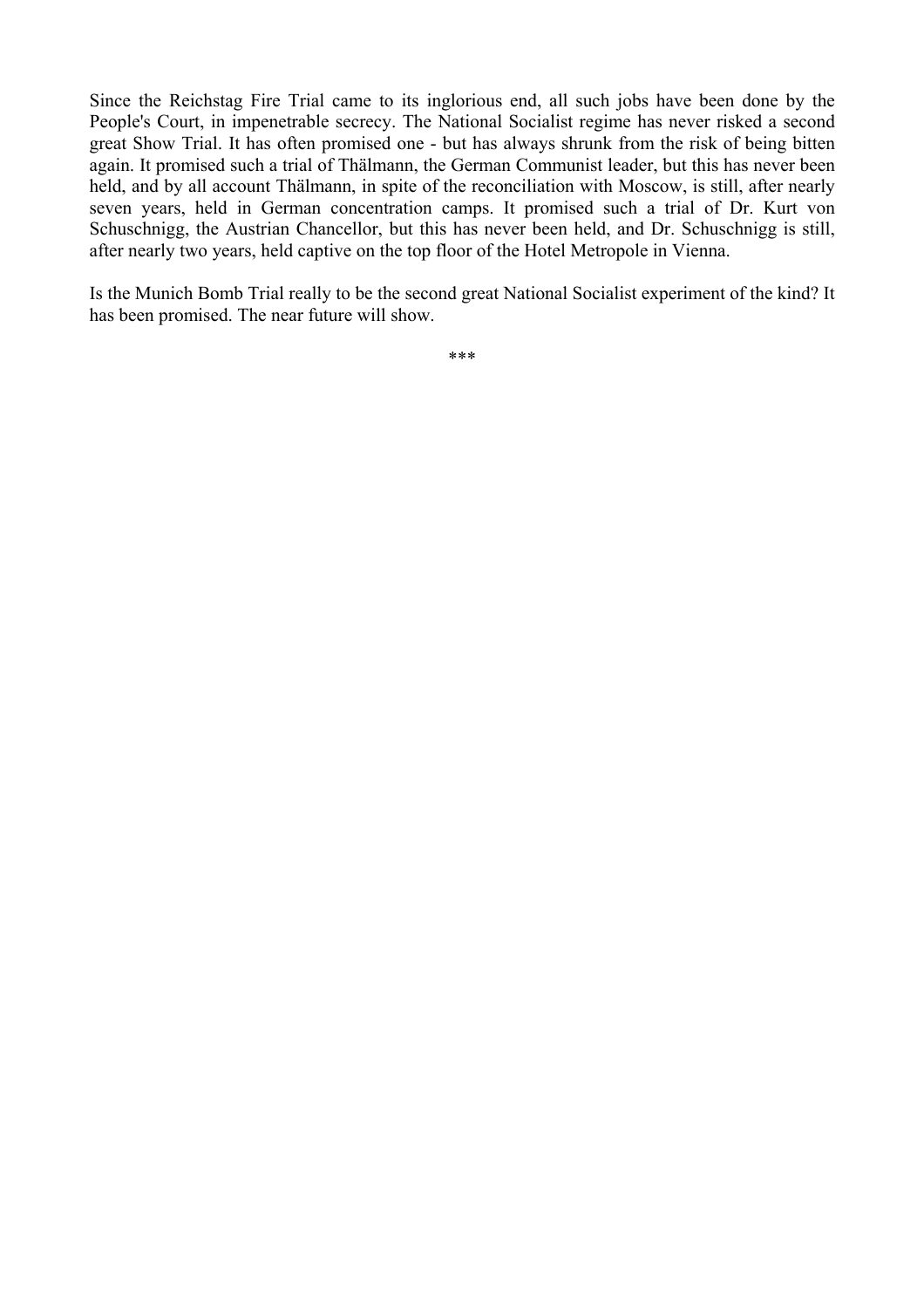Since the Reichstag Fire Trial came to its inglorious end, all such jobs have been done by the People's Court, in impenetrable secrecy. The National Socialist regime has never risked a second great Show Trial. It has often promised one - but has always shrunk from the risk of being bitten again. It promised such a trial of Thälmann, the German Communist leader, but this has never been held, and by all account Thälmann, in spite of the reconciliation with Moscow, is still, after nearly seven years, held in German concentration camps. It promised such a trial of Dr. Kurt von Schuschnigg, the Austrian Chancellor, but this has never been held, and Dr. Schuschnigg is still, after nearly two years, held captive on the top floor of the Hotel Metropole in Vienna.

Is the Munich Bomb Trial really to be the second great National Socialist experiment of the kind? It has been promised. The near future will show.